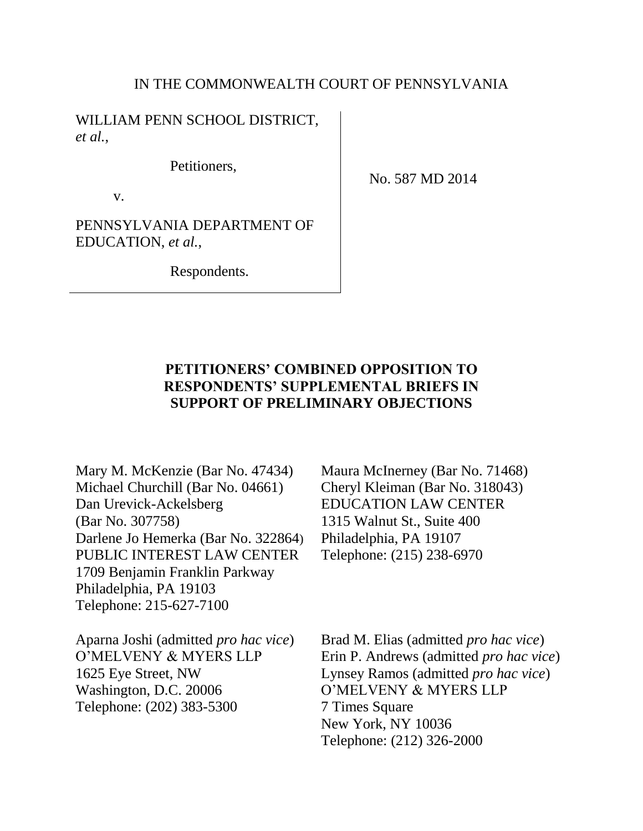#### IN THE COMMONWEALTH COURT OF PENNSYLVANIA

WILLIAM PENN SCHOOL DISTRICT, *et al.*,

Petitioners,

v.

No. 587 MD 2014

PENNSYLVANIA DEPARTMENT OF EDUCATION, *et al.*,

Respondents.

# **PETITIONERS' COMBINED OPPOSITION TO RESPONDENTS' SUPPLEMENTAL BRIEFS IN SUPPORT OF PRELIMINARY OBJECTIONS**

Mary M. McKenzie (Bar No. 47434) Michael Churchill (Bar No. 04661) Dan Urevick-Ackelsberg (Bar No. 307758) Darlene Jo Hemerka (Bar No. 322864) PUBLIC INTEREST LAW CENTER 1709 Benjamin Franklin Parkway Philadelphia, PA 19103 Telephone: 215-627-7100

Aparna Joshi (admitted *pro hac vice*) O'MELVENY & MYERS LLP 1625 Eye Street, NW Washington, D.C. 20006 Telephone: (202) 383-5300

Maura McInerney (Bar No. 71468) Cheryl Kleiman (Bar No. 318043) EDUCATION LAW CENTER 1315 Walnut St., Suite 400 Philadelphia, PA 19107 Telephone: (215) 238-6970

Brad M. Elias (admitted *pro hac vice*) Erin P. Andrews (admitted *pro hac vice*) Lynsey Ramos (admitted *pro hac vice*) O'MELVENY & MYERS LLP 7 Times Square New York, NY 10036 Telephone: (212) 326-2000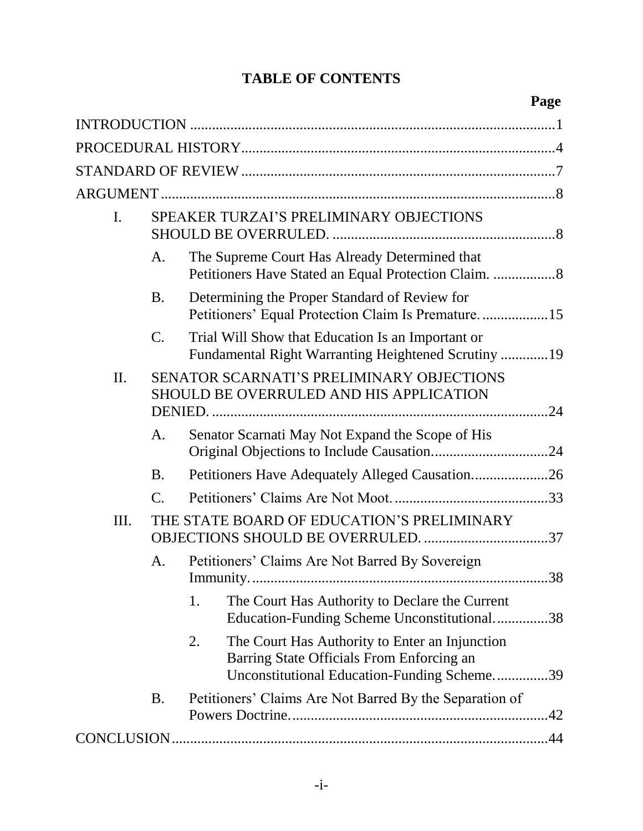# **TABLE OF CONTENTS**

# **Page**

| $\mathbf{I}$ . |                | SPEAKER TURZAI'S PRELIMINARY OBJECTIONS                                                                                                          |  |  |  |
|----------------|----------------|--------------------------------------------------------------------------------------------------------------------------------------------------|--|--|--|
|                | A.             | The Supreme Court Has Already Determined that                                                                                                    |  |  |  |
|                | B.             | Determining the Proper Standard of Review for<br>Petitioners' Equal Protection Claim Is Premature15                                              |  |  |  |
|                | $\mathbf{C}$ . | Trial Will Show that Education Is an Important or<br>Fundamental Right Warranting Heightened Scrutiny 19                                         |  |  |  |
| II.            |                | SENATOR SCARNATI'S PRELIMINARY OBJECTIONS<br>SHOULD BE OVERRULED AND HIS APPLICATION                                                             |  |  |  |
|                | A.             | Senator Scarnati May Not Expand the Scope of His                                                                                                 |  |  |  |
|                | <b>B.</b>      | Petitioners Have Adequately Alleged Causation26                                                                                                  |  |  |  |
|                | C.             |                                                                                                                                                  |  |  |  |
| III.           |                | THE STATE BOARD OF EDUCATION'S PRELIMINARY                                                                                                       |  |  |  |
|                | A.             | Petitioners' Claims Are Not Barred By Sovereign                                                                                                  |  |  |  |
|                |                | 1.<br>The Court Has Authority to Declare the Current<br>Education-Funding Scheme Unconstitutional38                                              |  |  |  |
|                |                | The Court Has Authority to Enter an Injunction<br>2.<br>Barring State Officials From Enforcing an<br>Unconstitutional Education-Funding Scheme39 |  |  |  |
|                | <b>B.</b>      | Petitioners' Claims Are Not Barred By the Separation of                                                                                          |  |  |  |
|                |                |                                                                                                                                                  |  |  |  |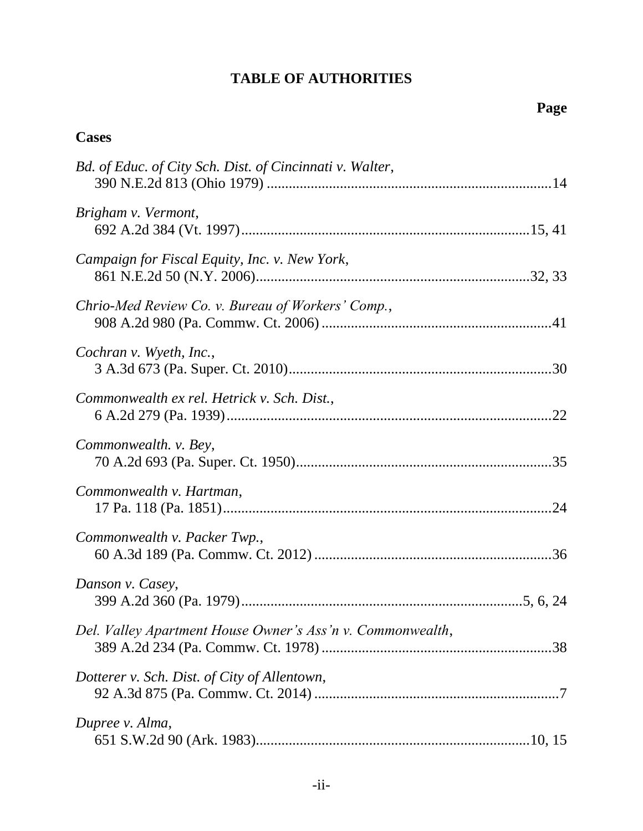# **TABLE OF AUTHORITIES**

# **Page**

# <span id="page-2-0"></span>**Cases**

| Bd. of Educ. of City Sch. Dist. of Cincinnati v. Walter,   |  |
|------------------------------------------------------------|--|
| Brigham v. Vermont,                                        |  |
| Campaign for Fiscal Equity, Inc. v. New York,              |  |
| Chrio-Med Review Co. v. Bureau of Workers' Comp.,          |  |
| Cochran v. Wyeth, Inc.,                                    |  |
| Commonwealth ex rel. Hetrick v. Sch. Dist.,                |  |
| Commonwealth. v. Bey,                                      |  |
| Commonwealth v. Hartman,                                   |  |
| Commonwealth v. Packer Twp.,                               |  |
| Danson v. Casey,                                           |  |
| Del. Valley Apartment House Owner's Ass'n v. Commonwealth, |  |
| Dotterer v. Sch. Dist. of City of Allentown,               |  |
| Dupree v. Alma,                                            |  |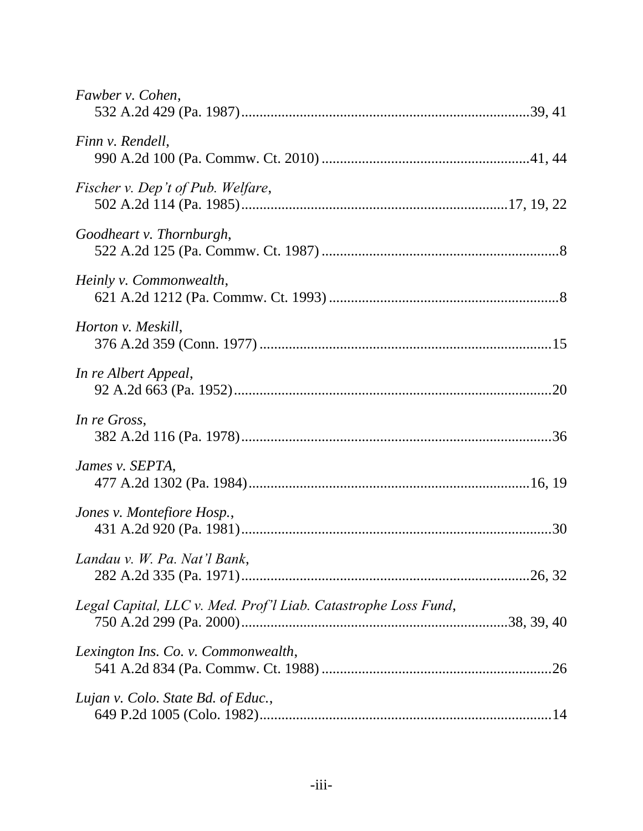| Fawber v. Cohen,                                               |
|----------------------------------------------------------------|
| Finn v. Rendell,                                               |
| Fischer v. Dep't of Pub. Welfare,                              |
| Goodheart v. Thornburgh,                                       |
| Heinly v. Commonwealth,                                        |
| Horton v. Meskill,                                             |
| In re Albert Appeal,                                           |
| In re Gross,                                                   |
| James v. SEPTA,                                                |
| Jones v. Montefiore Hosp.,                                     |
| Landau v. W. Pa. Nat'l Bank,                                   |
| Legal Capital, LLC v. Med. Prof'l Liab. Catastrophe Loss Fund, |
| Lexington Ins. Co. v. Commonwealth,                            |
| Lujan v. Colo. State Bd. of Educ.,                             |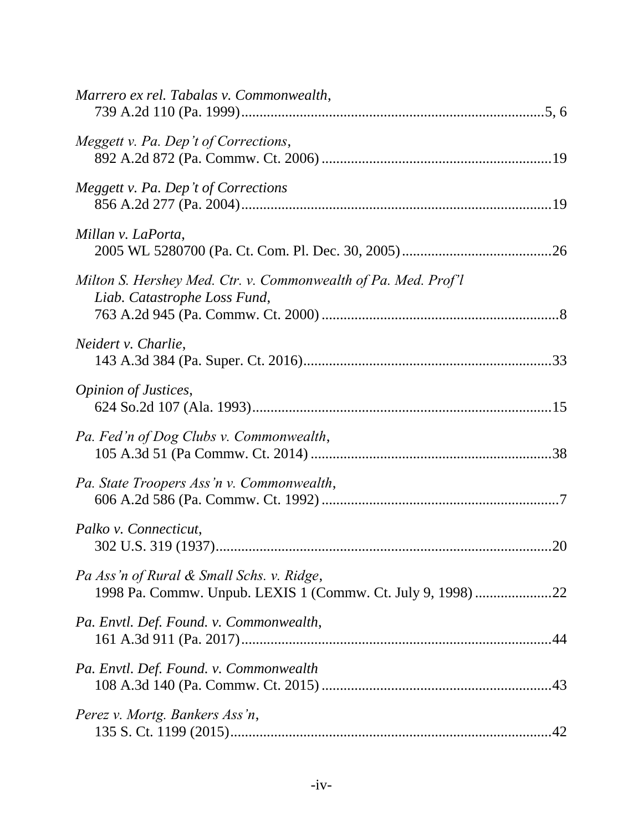| Marrero ex rel. Tabalas v. Commonwealth,                                                                 |
|----------------------------------------------------------------------------------------------------------|
| Meggett v. Pa. Dep't of Corrections,                                                                     |
| Meggett v. Pa. Dep't of Corrections                                                                      |
| Millan v. LaPorta,                                                                                       |
| Milton S. Hershey Med. Ctr. v. Commonwealth of Pa. Med. Prof'l<br>Liab. Catastrophe Loss Fund,           |
| Neidert v. Charlie,                                                                                      |
| Opinion of Justices,                                                                                     |
| Pa. Fed'n of Dog Clubs v. Commonwealth,                                                                  |
| Pa. State Troopers Ass'n v. Commonwealth,                                                                |
| Palko v. Connecticut,                                                                                    |
| Pa Ass'n of Rural & Small Schs. v. Ridge,<br>1998 Pa. Commw. Unpub. LEXIS 1 (Commw. Ct. July 9, 1998) 22 |
| Pa. Envtl. Def. Found. v. Commonwealth,                                                                  |
| Pa. Envtl. Def. Found. v. Commonwealth                                                                   |
| Perez v. Mortg. Bankers Ass'n,                                                                           |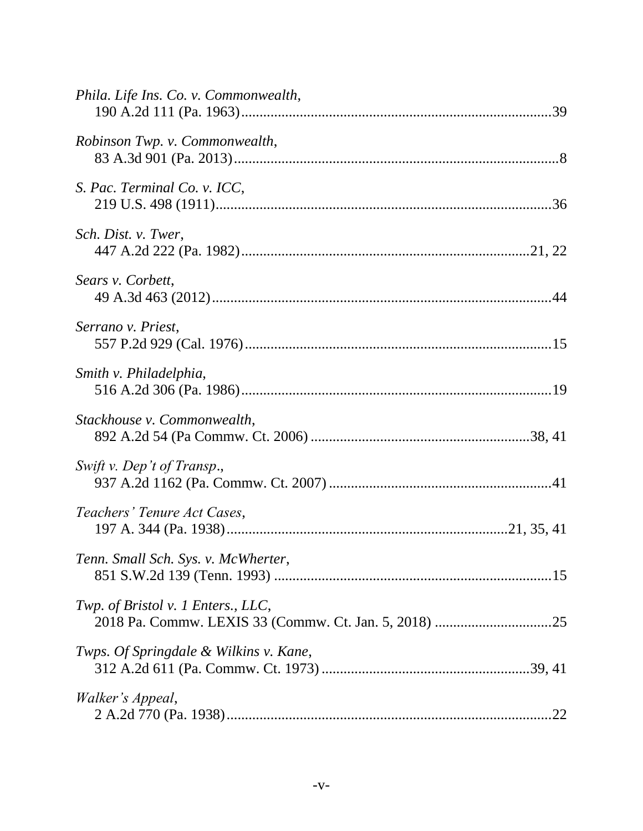| Phila. Life Ins. Co. v. Commonwealth,  |  |
|----------------------------------------|--|
| Robinson Twp. v. Commonwealth,         |  |
| S. Pac. Terminal Co. v. ICC,           |  |
| Sch. Dist. v. Twer,                    |  |
| Sears v. Corbett,                      |  |
| Serrano v. Priest,                     |  |
| Smith v. Philadelphia,                 |  |
| Stackhouse v. Commonwealth,            |  |
| Swift v. Dep't of Transp.,             |  |
| Teachers' Tenure Act Cases,            |  |
| Tenn. Small Sch. Sys. v. McWherter,    |  |
| Twp. of Bristol v. 1 Enters., LLC,     |  |
| Twps. Of Springdale & Wilkins v. Kane, |  |
| <i>Walker's Appeal,</i>                |  |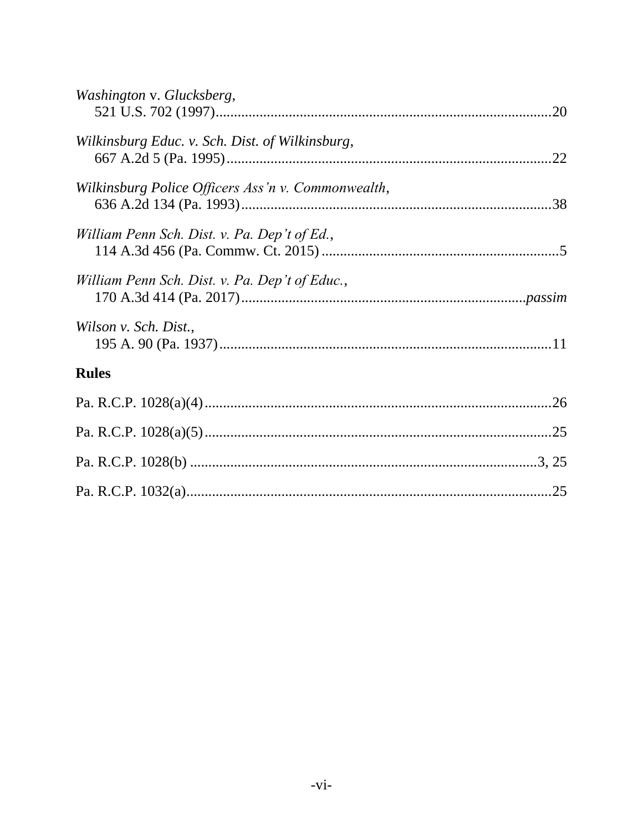| Washington v. Glucksberg,                          |  |
|----------------------------------------------------|--|
| Wilkinsburg Educ. v. Sch. Dist. of Wilkinsburg,    |  |
| Wilkinsburg Police Officers Ass'n v. Commonwealth, |  |
| William Penn Sch. Dist. v. Pa. Dep't of Ed.,       |  |
| William Penn Sch. Dist. v. Pa. Dep't of Educ.,     |  |
| Wilson v. Sch. Dist.,                              |  |
| <b>Rules</b>                                       |  |
|                                                    |  |
|                                                    |  |
|                                                    |  |
|                                                    |  |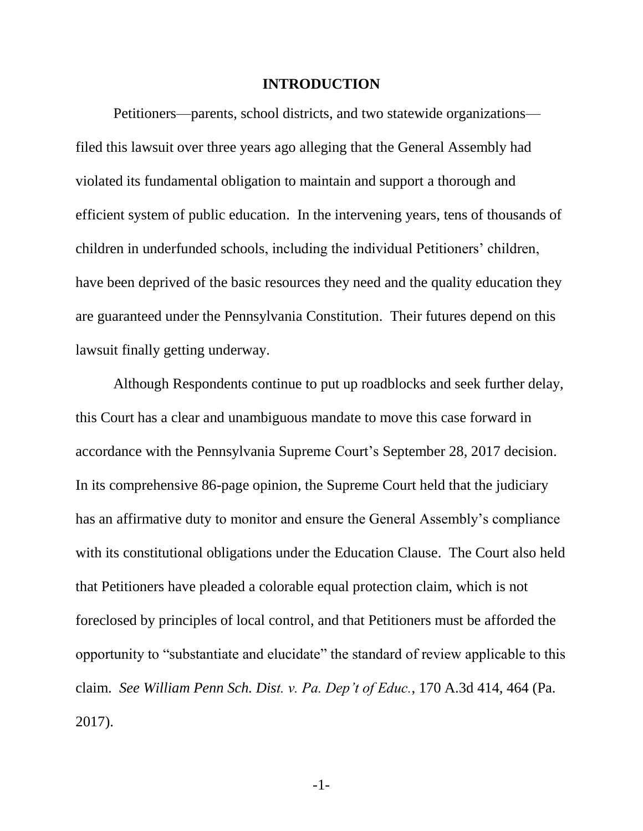#### **INTRODUCTION**

Petitioners—parents, school districts, and two statewide organizations filed this lawsuit over three years ago alleging that the General Assembly had violated its fundamental obligation to maintain and support a thorough and efficient system of public education. In the intervening years, tens of thousands of children in underfunded schools, including the individual Petitioners' children, have been deprived of the basic resources they need and the quality education they are guaranteed under the Pennsylvania Constitution. Their futures depend on this lawsuit finally getting underway.

Although Respondents continue to put up roadblocks and seek further delay, this Court has a clear and unambiguous mandate to move this case forward in accordance with the Pennsylvania Supreme Court's September 28, 2017 decision. In its comprehensive 86-page opinion, the Supreme Court held that the judiciary has an affirmative duty to monitor and ensure the General Assembly's compliance with its constitutional obligations under the Education Clause. The Court also held that Petitioners have pleaded a colorable equal protection claim, which is not foreclosed by principles of local control, and that Petitioners must be afforded the opportunity to "substantiate and elucidate" the standard of review applicable to this claim. *See William Penn Sch. Dist. v. Pa. Dep't of Educ.*, 170 A.3d 414, 464 (Pa. 2017).

<span id="page-7-0"></span>-1-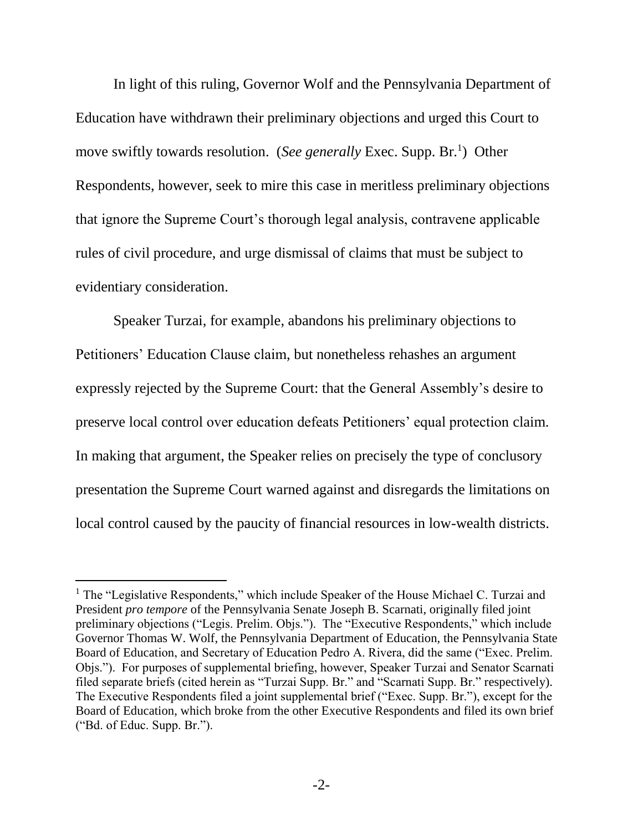In light of this ruling, Governor Wolf and the Pennsylvania Department of Education have withdrawn their preliminary objections and urged this Court to move swiftly towards resolution. (*See generally* Exec. Supp. Br.<sup>1</sup>) Other Respondents, however, seek to mire this case in meritless preliminary objections that ignore the Supreme Court's thorough legal analysis, contravene applicable rules of civil procedure, and urge dismissal of claims that must be subject to evidentiary consideration.

Speaker Turzai, for example, abandons his preliminary objections to Petitioners' Education Clause claim, but nonetheless rehashes an argument expressly rejected by the Supreme Court: that the General Assembly's desire to preserve local control over education defeats Petitioners' equal protection claim. In making that argument, the Speaker relies on precisely the type of conclusory presentation the Supreme Court warned against and disregards the limitations on local control caused by the paucity of financial resources in low-wealth districts.

<sup>&</sup>lt;sup>1</sup> The "Legislative Respondents," which include Speaker of the House Michael C. Turzai and President *pro tempore* of the Pennsylvania Senate Joseph B. Scarnati, originally filed joint preliminary objections ("Legis. Prelim. Objs."). The "Executive Respondents," which include Governor Thomas W. Wolf, the Pennsylvania Department of Education, the Pennsylvania State Board of Education, and Secretary of Education Pedro A. Rivera, did the same ("Exec. Prelim. Objs."). For purposes of supplemental briefing, however, Speaker Turzai and Senator Scarnati filed separate briefs (cited herein as "Turzai Supp. Br." and "Scarnati Supp. Br." respectively). The Executive Respondents filed a joint supplemental brief ("Exec. Supp. Br."), except for the Board of Education, which broke from the other Executive Respondents and filed its own brief ("Bd. of Educ. Supp. Br.").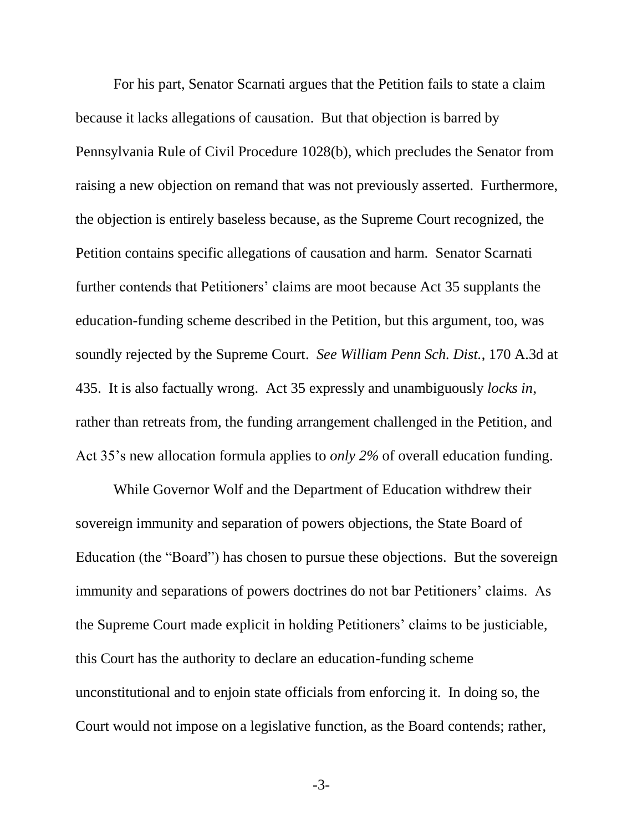<span id="page-9-0"></span>For his part, Senator Scarnati argues that the Petition fails to state a claim because it lacks allegations of causation. But that objection is barred by Pennsylvania Rule of Civil Procedure 1028(b), which precludes the Senator from raising a new objection on remand that was not previously asserted. Furthermore, the objection is entirely baseless because, as the Supreme Court recognized, the Petition contains specific allegations of causation and harm. Senator Scarnati further contends that Petitioners' claims are moot because Act 35 supplants the education-funding scheme described in the Petition, but this argument, too, was soundly rejected by the Supreme Court. *See William Penn Sch. Dist.*, 170 A.3d at 435. It is also factually wrong. Act 35 expressly and unambiguously *locks in*, rather than retreats from, the funding arrangement challenged in the Petition, and Act 35's new allocation formula applies to *only 2%* of overall education funding.

While Governor Wolf and the Department of Education withdrew their sovereign immunity and separation of powers objections, the State Board of Education (the "Board") has chosen to pursue these objections. But the sovereign immunity and separations of powers doctrines do not bar Petitioners' claims. As the Supreme Court made explicit in holding Petitioners' claims to be justiciable, this Court has the authority to declare an education-funding scheme unconstitutional and to enjoin state officials from enforcing it. In doing so, the Court would not impose on a legislative function, as the Board contends; rather,

-3-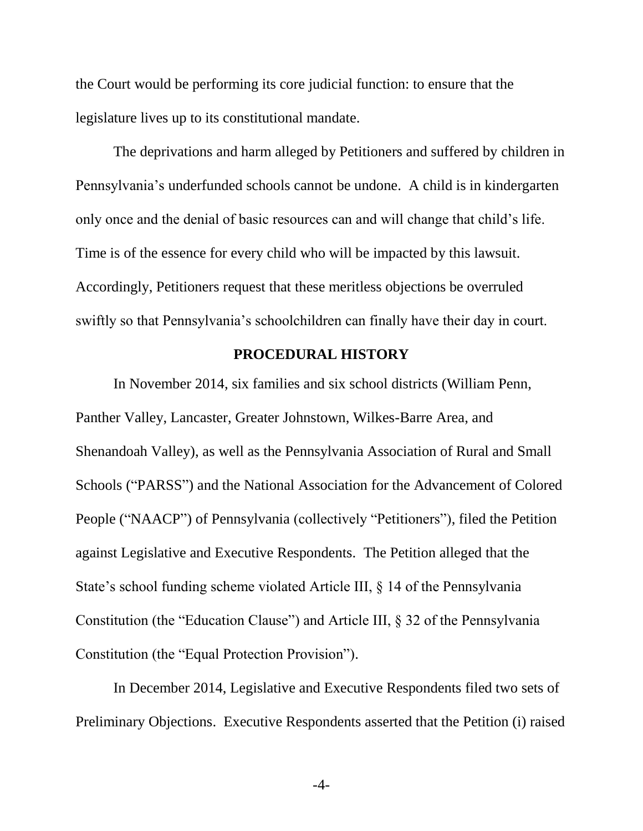the Court would be performing its core judicial function: to ensure that the legislature lives up to its constitutional mandate.

The deprivations and harm alleged by Petitioners and suffered by children in Pennsylvania's underfunded schools cannot be undone. A child is in kindergarten only once and the denial of basic resources can and will change that child's life. Time is of the essence for every child who will be impacted by this lawsuit. Accordingly, Petitioners request that these meritless objections be overruled swiftly so that Pennsylvania's schoolchildren can finally have their day in court.

#### **PROCEDURAL HISTORY**

<span id="page-10-0"></span>In November 2014, six families and six school districts (William Penn, Panther Valley, Lancaster, Greater Johnstown, Wilkes-Barre Area, and Shenandoah Valley), as well as the Pennsylvania Association of Rural and Small Schools ("PARSS") and the National Association for the Advancement of Colored People ("NAACP") of Pennsylvania (collectively "Petitioners"), filed the Petition against Legislative and Executive Respondents. The Petition alleged that the State's school funding scheme violated Article III, § 14 of the Pennsylvania Constitution (the "Education Clause") and Article III, § 32 of the Pennsylvania Constitution (the "Equal Protection Provision").

In December 2014, Legislative and Executive Respondents filed two sets of Preliminary Objections. Executive Respondents asserted that the Petition (i) raised

-4-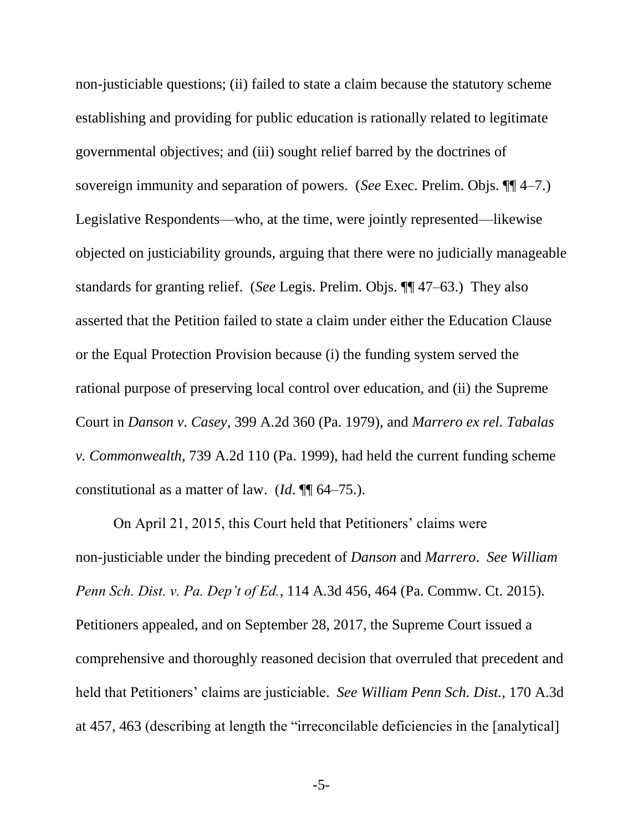non-justiciable questions; (ii) failed to state a claim because the statutory scheme establishing and providing for public education is rationally related to legitimate governmental objectives; and (iii) sought relief barred by the doctrines of sovereign immunity and separation of powers. (*See* Exec. Prelim. Objs. ¶¶ 4–7.) Legislative Respondents—who, at the time, were jointly represented—likewise objected on justiciability grounds, arguing that there were no judicially manageable standards for granting relief. (*See* Legis. Prelim. Objs. ¶¶ 47–63.) They also asserted that the Petition failed to state a claim under either the Education Clause or the Equal Protection Provision because (i) the funding system served the rational purpose of preserving local control over education, and (ii) the Supreme Court in *Danson v. Casey*, 399 A.2d 360 (Pa. 1979), and *Marrero ex rel. Tabalas v. Commonwealth*, 739 A.2d 110 (Pa. 1999), had held the current funding scheme constitutional as a matter of law. (*Id*. ¶¶ 64–75.).

On April 21, 2015, this Court held that Petitioners' claims were non-justiciable under the binding precedent of *Danson* and *Marrero*. *See William Penn Sch. Dist. v. Pa. Dep't of Ed.*, 114 A.3d 456, 464 (Pa. Commw. Ct. 2015). Petitioners appealed, and on September 28, 2017, the Supreme Court issued a comprehensive and thoroughly reasoned decision that overruled that precedent and held that Petitioners' claims are justiciable. *See William Penn Sch. Dist.*, 170 A.3d at 457, 463 (describing at length the "irreconcilable deficiencies in the [analytical]

<span id="page-11-0"></span>-5-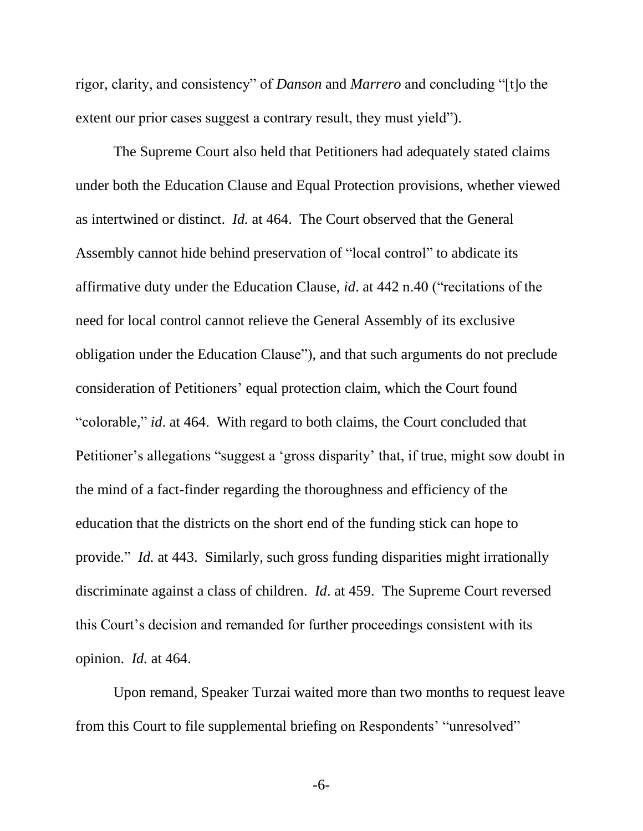<span id="page-12-1"></span><span id="page-12-0"></span>rigor, clarity, and consistency" of *Danson* and *Marrero* and concluding "[t]o the extent our prior cases suggest a contrary result, they must yield").

The Supreme Court also held that Petitioners had adequately stated claims under both the Education Clause and Equal Protection provisions, whether viewed as intertwined or distinct. *Id.* at 464. The Court observed that the General Assembly cannot hide behind preservation of "local control" to abdicate its affirmative duty under the Education Clause, *id*. at 442 n.40 ("recitations of the need for local control cannot relieve the General Assembly of its exclusive obligation under the Education Clause"), and that such arguments do not preclude consideration of Petitioners' equal protection claim, which the Court found "colorable," *id*. at 464. With regard to both claims, the Court concluded that Petitioner's allegations "suggest a 'gross disparity' that, if true, might sow doubt in the mind of a fact-finder regarding the thoroughness and efficiency of the education that the districts on the short end of the funding stick can hope to provide." *Id.* at 443. Similarly, such gross funding disparities might irrationally discriminate against a class of children. *Id*. at 459. The Supreme Court reversed this Court's decision and remanded for further proceedings consistent with its opinion. *Id.* at 464.

Upon remand, Speaker Turzai waited more than two months to request leave from this Court to file supplemental briefing on Respondents' "unresolved"

-6-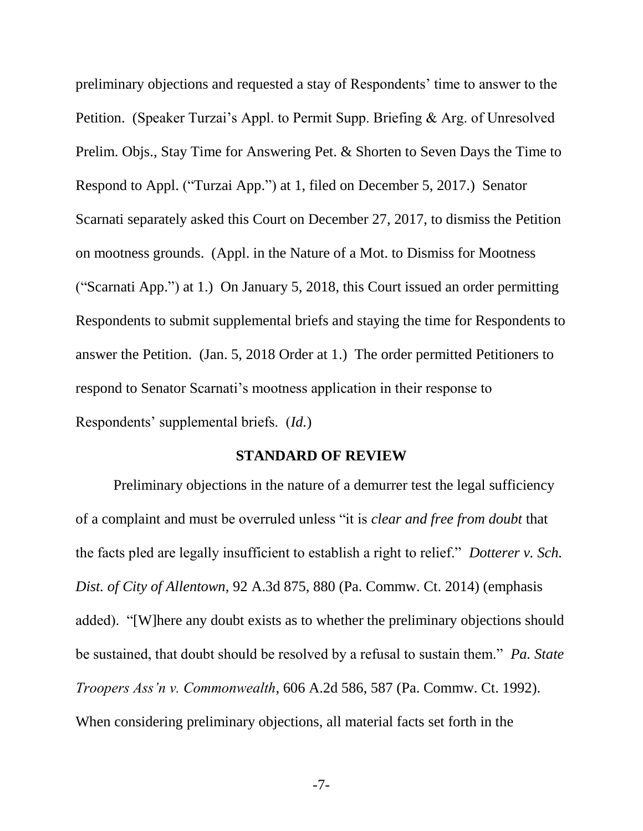preliminary objections and requested a stay of Respondents' time to answer to the Petition. (Speaker Turzai's Appl. to Permit Supp. Briefing & Arg. of Unresolved Prelim. Objs., Stay Time for Answering Pet. & Shorten to Seven Days the Time to Respond to Appl. ("Turzai App.") at 1, filed on December 5, 2017.) Senator Scarnati separately asked this Court on December 27, 2017, to dismiss the Petition on mootness grounds. (Appl. in the Nature of a Mot. to Dismiss for Mootness ("Scarnati App.") at 1.) On January 5, 2018, this Court issued an order permitting Respondents to submit supplemental briefs and staying the time for Respondents to answer the Petition. (Jan. 5, 2018 Order at 1.) The order permitted Petitioners to respond to Senator Scarnati's mootness application in their response to Respondents' supplemental briefs. (*Id.*)

#### <span id="page-13-1"></span>**STANDARD OF REVIEW**

<span id="page-13-0"></span>Preliminary objections in the nature of a demurrer test the legal sufficiency of a complaint and must be overruled unless "it is *clear and free from doubt* that the facts pled are legally insufficient to establish a right to relief." *Dotterer v. Sch. Dist. of City of Allentown*, 92 A.3d 875, 880 (Pa. Commw. Ct. 2014) (emphasis added). "[W]here any doubt exists as to whether the preliminary objections should be sustained, that doubt should be resolved by a refusal to sustain them." *Pa. State Troopers Ass'n v. Commonwealth*, 606 A.2d 586, 587 (Pa. Commw. Ct. 1992). When considering preliminary objections, all material facts set forth in the

<span id="page-13-2"></span>-7-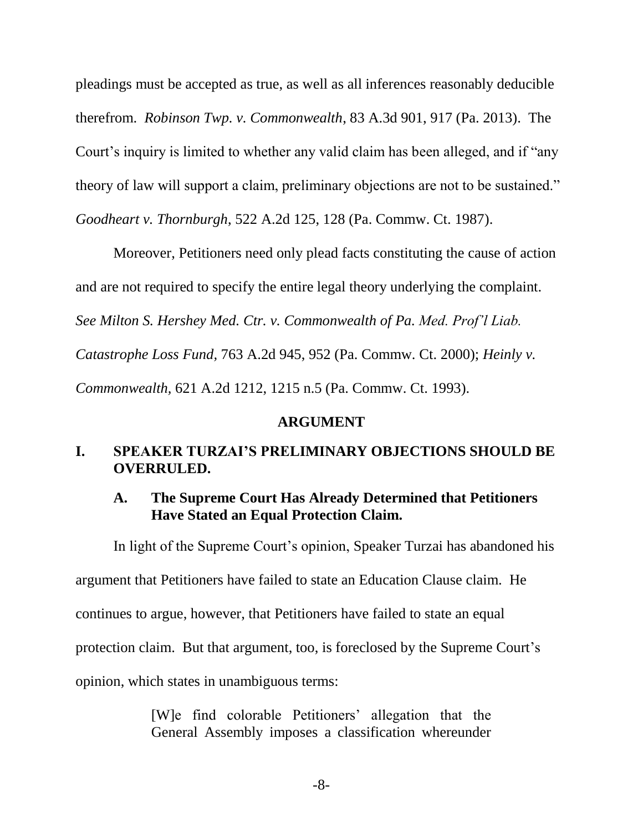<span id="page-14-6"></span>pleadings must be accepted as true, as well as all inferences reasonably deducible therefrom. *Robinson Twp. v. Commonwealth*, 83 A.3d 901, 917 (Pa. 2013). The Court's inquiry is limited to whether any valid claim has been alleged, and if "any theory of law will support a claim, preliminary objections are not to be sustained." *Goodheart v. Thornburgh*, 522 A.2d 125, 128 (Pa. Commw. Ct. 1987).

<span id="page-14-5"></span><span id="page-14-3"></span>Moreover, Petitioners need only plead facts constituting the cause of action and are not required to specify the entire legal theory underlying the complaint. *See Milton S. Hershey Med. Ctr. v. Commonwealth of Pa. Med. Prof'l Liab. Catastrophe Loss Fund,* 763 A.2d 945, 952 (Pa. Commw. Ct. 2000); *Heinly v. Commonwealth,* 621 A.2d 1212, 1215 n.5 (Pa. Commw. Ct. 1993).

#### <span id="page-14-4"></span>**ARGUMENT**

# <span id="page-14-1"></span><span id="page-14-0"></span>**I. SPEAKER TURZAI'S PRELIMINARY OBJECTIONS SHOULD BE OVERRULED.**

#### <span id="page-14-2"></span>**A. The Supreme Court Has Already Determined that Petitioners Have Stated an Equal Protection Claim.**

In light of the Supreme Court's opinion, Speaker Turzai has abandoned his argument that Petitioners have failed to state an Education Clause claim. He continues to argue, however, that Petitioners have failed to state an equal protection claim. But that argument, too, is foreclosed by the Supreme Court's opinion, which states in unambiguous terms:

> [W]e find colorable Petitioners' allegation that the General Assembly imposes a classification whereunder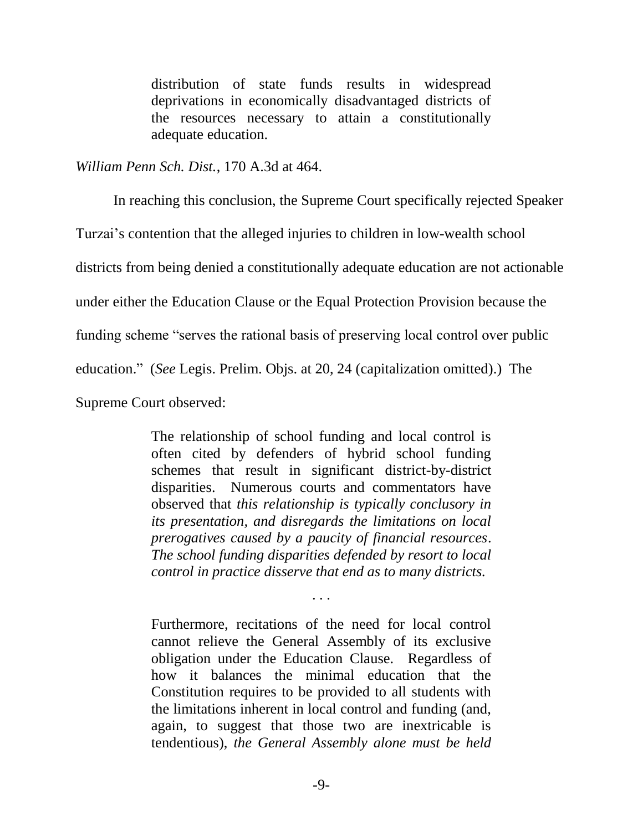distribution of state funds results in widespread deprivations in economically disadvantaged districts of the resources necessary to attain a constitutionally adequate education.

*William Penn Sch. Dist.*, 170 A.3d at 464.

In reaching this conclusion, the Supreme Court specifically rejected Speaker

Turzai's contention that the alleged injuries to children in low-wealth school

districts from being denied a constitutionally adequate education are not actionable

under either the Education Clause or the Equal Protection Provision because the

funding scheme "serves the rational basis of preserving local control over public

education." (*See* Legis. Prelim. Objs. at 20, 24 (capitalization omitted).) The

Supreme Court observed:

The relationship of school funding and local control is often cited by defenders of hybrid school funding schemes that result in significant district-by-district disparities. Numerous courts and commentators have observed that *this relationship is typically conclusory in its presentation, and disregards the limitations on local prerogatives caused by a paucity of financial resources*. *The school funding disparities defended by resort to local control in practice disserve that end as to many districts.*

Furthermore, recitations of the need for local control cannot relieve the General Assembly of its exclusive obligation under the Education Clause. Regardless of how it balances the minimal education that the Constitution requires to be provided to all students with the limitations inherent in local control and funding (and, again, to suggest that those two are inextricable is tendentious), *the General Assembly alone must be held* 

. . .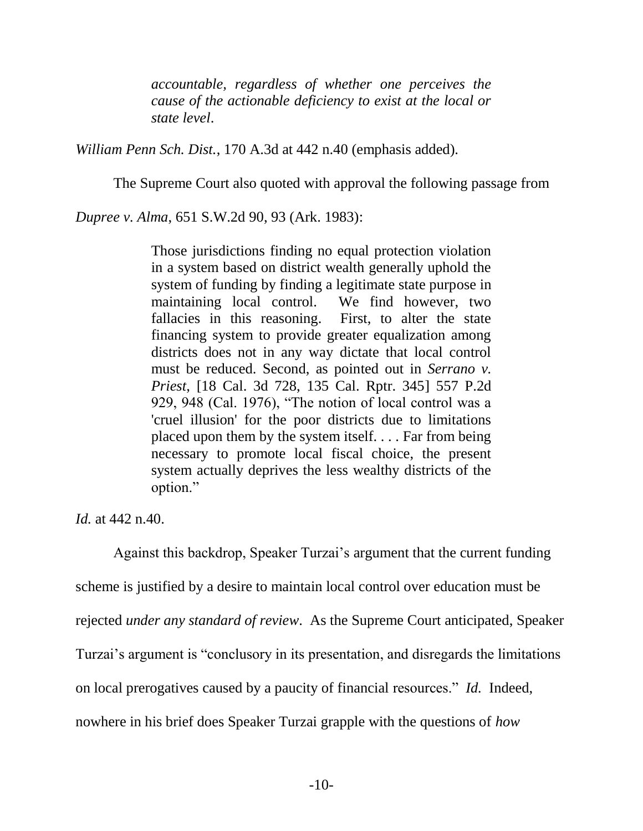*accountable, regardless of whether one perceives the cause of the actionable deficiency to exist at the local or state level*.

*William Penn Sch. Dist.*, 170 A.3d at 442 n.40 (emphasis added).

The Supreme Court also quoted with approval the following passage from

<span id="page-16-0"></span>*Dupree v. Alma*, 651 S.W.2d 90, 93 (Ark. 1983):

Those jurisdictions finding no equal protection violation in a system based on district wealth generally uphold the system of funding by finding a legitimate state purpose in maintaining local control. We find however, two fallacies in this reasoning. First, to alter the state financing system to provide greater equalization among districts does not in any way dictate that local control must be reduced. Second, as pointed out in *Serrano v. Priest*, [18 Cal. 3d 728, 135 Cal. Rptr. 345] 557 P.2d 929, 948 (Cal. 1976), "The notion of local control was a 'cruel illusion' for the poor districts due to limitations placed upon them by the system itself. . . . Far from being necessary to promote local fiscal choice, the present system actually deprives the less wealthy districts of the option."

*Id.* at 442 n.40.

Against this backdrop, Speaker Turzai's argument that the current funding scheme is justified by a desire to maintain local control over education must be rejected *under any standard of review*. As the Supreme Court anticipated, Speaker Turzai's argument is "conclusory in its presentation, and disregards the limitations on local prerogatives caused by a paucity of financial resources." *Id.* Indeed, nowhere in his brief does Speaker Turzai grapple with the questions of *how*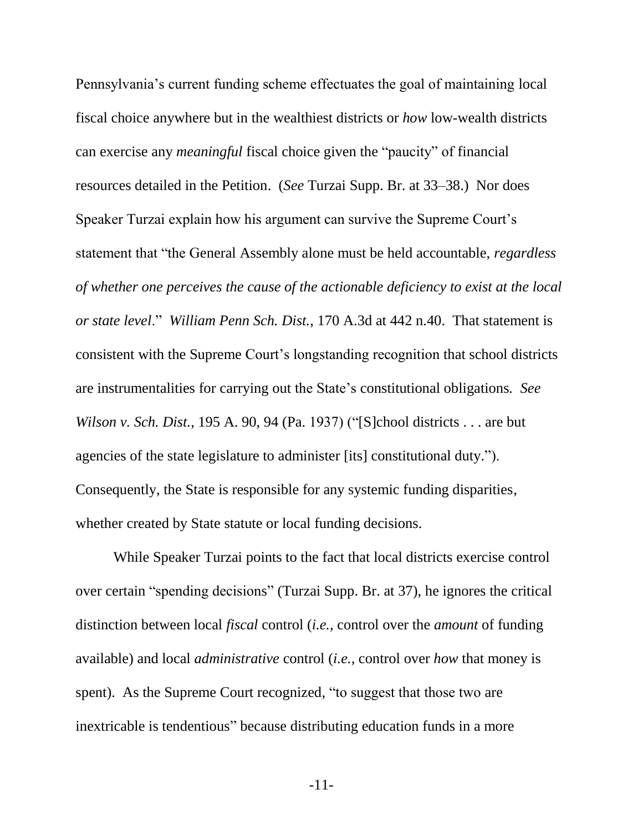Pennsylvania's current funding scheme effectuates the goal of maintaining local fiscal choice anywhere but in the wealthiest districts or *how* low-wealth districts can exercise any *meaningful* fiscal choice given the "paucity" of financial resources detailed in the Petition. (*See* Turzai Supp. Br. at 33–38.) Nor does Speaker Turzai explain how his argument can survive the Supreme Court's statement that "the General Assembly alone must be held accountable, *regardless of whether one perceives the cause of the actionable deficiency to exist at the local or state level*." *William Penn Sch. Dist.*, 170 A.3d at 442 n.40. That statement is consistent with the Supreme Court's longstanding recognition that school districts are instrumentalities for carrying out the State's constitutional obligations*. See Wilson v. Sch. Dist.*, 195 A. 90, 94 (Pa. 1937) ("[S]chool districts . . . are but agencies of the state legislature to administer [its] constitutional duty."). Consequently, the State is responsible for any systemic funding disparities, whether created by State statute or local funding decisions.

<span id="page-17-0"></span>While Speaker Turzai points to the fact that local districts exercise control over certain "spending decisions" (Turzai Supp. Br. at 37), he ignores the critical distinction between local *fiscal* control (*i.e.*, control over the *amount* of funding available) and local *administrative* control (*i.e.*, control over *how* that money is spent). As the Supreme Court recognized, "to suggest that those two are inextricable is tendentious" because distributing education funds in a more

-11-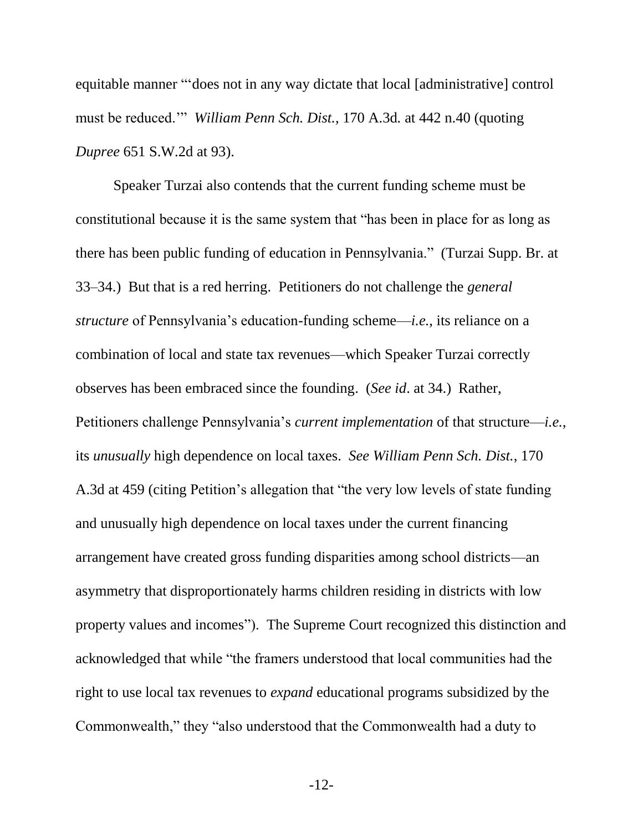equitable manner "'does not in any way dictate that local [administrative] control must be reduced.'" *William Penn Sch. Dist.*, 170 A.3d*.* at 442 n.40 (quoting *Dupree* 651 S.W.2d at 93).

Speaker Turzai also contends that the current funding scheme must be constitutional because it is the same system that "has been in place for as long as there has been public funding of education in Pennsylvania." (Turzai Supp. Br. at 33–34.) But that is a red herring. Petitioners do not challenge the *general structure* of Pennsylvania's education-funding scheme—*i.e.*, its reliance on a combination of local and state tax revenues—which Speaker Turzai correctly observes has been embraced since the founding. (*See id*. at 34.) Rather, Petitioners challenge Pennsylvania's *current implementation* of that structure—*i.e.*, its *unusually* high dependence on local taxes. *See William Penn Sch. Dist.*, 170 A.3d at 459 (citing Petition's allegation that "the very low levels of state funding and unusually high dependence on local taxes under the current financing arrangement have created gross funding disparities among school districts—an asymmetry that disproportionately harms children residing in districts with low property values and incomes"). The Supreme Court recognized this distinction and acknowledged that while "the framers understood that local communities had the right to use local tax revenues to *expand* educational programs subsidized by the Commonwealth," they "also understood that the Commonwealth had a duty to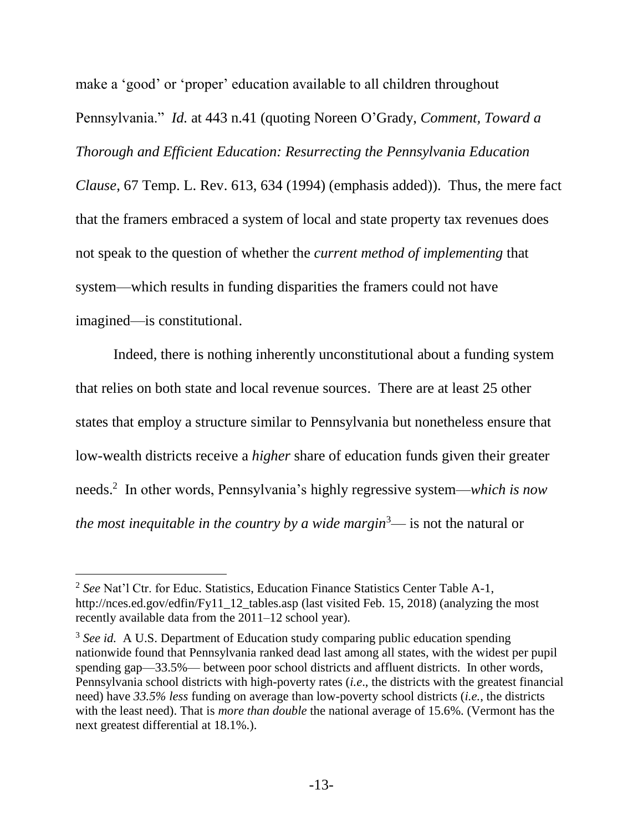make a 'good' or 'proper' education available to all children throughout Pennsylvania." *Id.* at 443 n.41 (quoting Noreen O'Grady, *Comment, Toward a Thorough and Efficient Education: Resurrecting the Pennsylvania Education Clause*, 67 Temp. L. Rev. 613, 634 (1994) (emphasis added)). Thus, the mere fact that the framers embraced a system of local and state property tax revenues does not speak to the question of whether the *current method of implementing* that system—which results in funding disparities the framers could not have imagined—is constitutional.

Indeed, there is nothing inherently unconstitutional about a funding system that relies on both state and local revenue sources. There are at least 25 other states that employ a structure similar to Pennsylvania but nonetheless ensure that low-wealth districts receive a *higher* share of education funds given their greater needs. 2 In other words, Pennsylvania's highly regressive system—*which is now the most inequitable in the country by a wide margin*<sup>3</sup>— is not the natural or

<sup>&</sup>lt;sup>2</sup> See Nat'l Ctr. for Educ. Statistics, Education Finance Statistics Center Table A-1, http://nces.ed.gov/edfin/Fy11\_12\_tables.asp (last visited Feb. 15, 2018) (analyzing the most recently available data from the 2011–12 school year).

<sup>&</sup>lt;sup>3</sup> See id. A U.S. Department of Education study comparing public education spending nationwide found that Pennsylvania ranked dead last among all states, with the widest per pupil spending gap—33.5%— between poor school districts and affluent districts. In other words, Pennsylvania school districts with high-poverty rates (*i.e*., the districts with the greatest financial need) have *33.5% less* funding on average than low-poverty school districts (*i.e.*, the districts with the least need). That is *more than double* the national average of 15.6%. (Vermont has the next greatest differential at 18.1%.).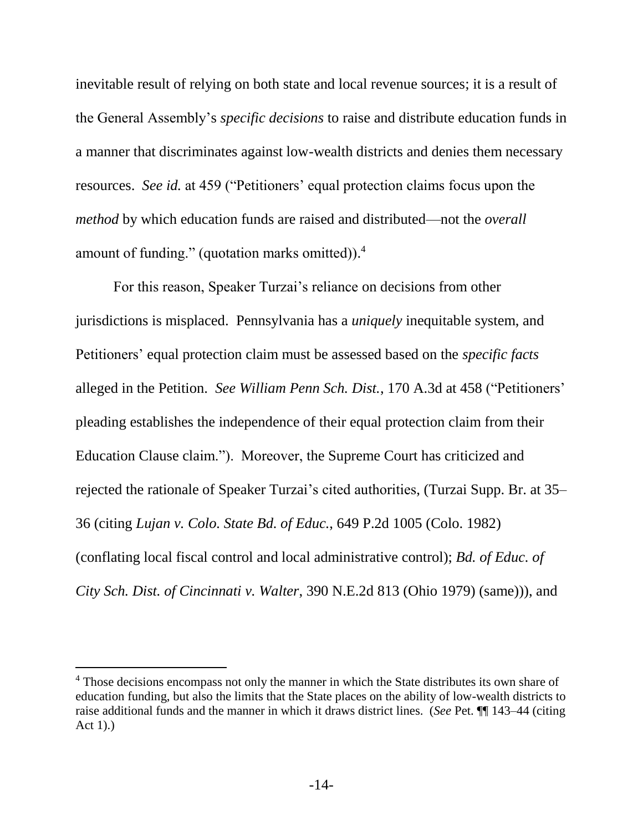inevitable result of relying on both state and local revenue sources; it is a result of the General Assembly's *specific decisions* to raise and distribute education funds in a manner that discriminates against low-wealth districts and denies them necessary resources. *See id.* at 459 ("Petitioners' equal protection claims focus upon the *method* by which education funds are raised and distributed—not the *overall* amount of funding." (quotation marks omitted)).<sup>4</sup>

For this reason, Speaker Turzai's reliance on decisions from other jurisdictions is misplaced. Pennsylvania has a *uniquely* inequitable system, and Petitioners' equal protection claim must be assessed based on the *specific facts* alleged in the Petition. *See William Penn Sch. Dist.*, 170 A.3d at 458 ("Petitioners' pleading establishes the independence of their equal protection claim from their Education Clause claim."). Moreover, the Supreme Court has criticized and rejected the rationale of Speaker Turzai's cited authorities, (Turzai Supp. Br. at 35– 36 (citing *Lujan v. Colo. State Bd. of Educ.*, 649 P.2d 1005 (Colo. 1982) (conflating local fiscal control and local administrative control); *Bd. of Educ. of City Sch. Dist. of Cincinnati v. Walter*, 390 N.E.2d 813 (Ohio 1979) (same))), and

<span id="page-20-1"></span><span id="page-20-0"></span><sup>&</sup>lt;sup>4</sup> Those decisions encompass not only the manner in which the State distributes its own share of education funding, but also the limits that the State places on the ability of low-wealth districts to raise additional funds and the manner in which it draws district lines. (*See* Pet. ¶¶ 143–44 (citing Act 1).)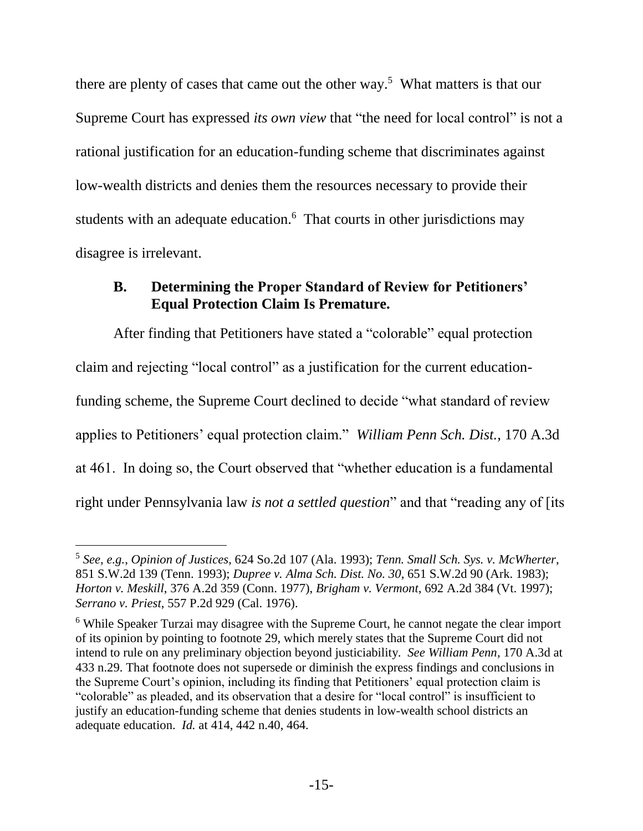there are plenty of cases that came out the other way.<sup>5</sup> What matters is that our Supreme Court has expressed *its own view* that "the need for local control" is not a rational justification for an education-funding scheme that discriminates against low-wealth districts and denies them the resources necessary to provide their students with an adequate education.<sup>6</sup> That courts in other jurisdictions may disagree is irrelevant.

## <span id="page-21-0"></span>**B. Determining the Proper Standard of Review for Petitioners' Equal Protection Claim Is Premature.**

After finding that Petitioners have stated a "colorable" equal protection claim and rejecting "local control" as a justification for the current educationfunding scheme, the Supreme Court declined to decide "what standard of review applies to Petitioners' equal protection claim." *William Penn Sch. Dist.*, 170 A.3d at 461. In doing so, the Court observed that "whether education is a fundamental right under Pennsylvania law *is not a settled question*" and that "reading any of [its

<span id="page-21-4"></span>l

<span id="page-21-3"></span><span id="page-21-2"></span><span id="page-21-1"></span><sup>5</sup> *See, e.g.*, *Opinion of Justices*, 624 So.2d 107 (Ala. 1993); *Tenn. Small Sch. Sys. v. McWherter*, 851 S.W.2d 139 (Tenn. 1993); *Dupree v. Alma Sch. Dist. No. 30*, 651 S.W.2d 90 (Ark. 1983); *Horton v. Meskill*, 376 A.2d 359 (Conn. 1977), *Brigham v. Vermont*, 692 A.2d 384 (Vt. 1997); *Serrano v. Priest*, 557 P.2d 929 (Cal. 1976).

<span id="page-21-5"></span><sup>6</sup> While Speaker Turzai may disagree with the Supreme Court, he cannot negate the clear import of its opinion by pointing to footnote 29, which merely states that the Supreme Court did not intend to rule on any preliminary objection beyond justiciability. *See William Penn*, 170 A.3d at 433 n.29. That footnote does not supersede or diminish the express findings and conclusions in the Supreme Court's opinion, including its finding that Petitioners' equal protection claim is "colorable" as pleaded, and its observation that a desire for "local control" is insufficient to justify an education-funding scheme that denies students in low-wealth school districts an adequate education. *Id.* at 414, 442 n.40, 464.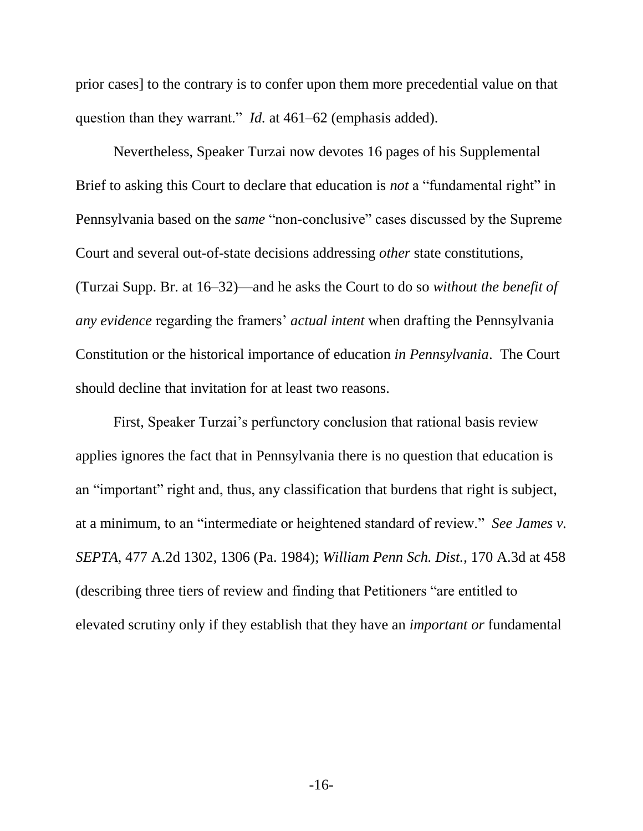prior cases] to the contrary is to confer upon them more precedential value on that question than they warrant." *Id.* at 461–62 (emphasis added).

Nevertheless, Speaker Turzai now devotes 16 pages of his Supplemental Brief to asking this Court to declare that education is *not* a "fundamental right" in Pennsylvania based on the *same* "non-conclusive" cases discussed by the Supreme Court and several out-of-state decisions addressing *other* state constitutions, (Turzai Supp. Br. at 16–32)—and he asks the Court to do so *without the benefit of any evidence* regarding the framers' *actual intent* when drafting the Pennsylvania Constitution or the historical importance of education *in Pennsylvania*. The Court should decline that invitation for at least two reasons.

<span id="page-22-0"></span>First, Speaker Turzai's perfunctory conclusion that rational basis review applies ignores the fact that in Pennsylvania there is no question that education is an "important" right and, thus, any classification that burdens that right is subject, at a minimum, to an "intermediate or heightened standard of review." *See James v. SEPTA*, 477 A.2d 1302, 1306 (Pa. 1984); *William Penn Sch. Dist.*, 170 A.3d at 458 (describing three tiers of review and finding that Petitioners "are entitled to elevated scrutiny only if they establish that they have an *important or* fundamental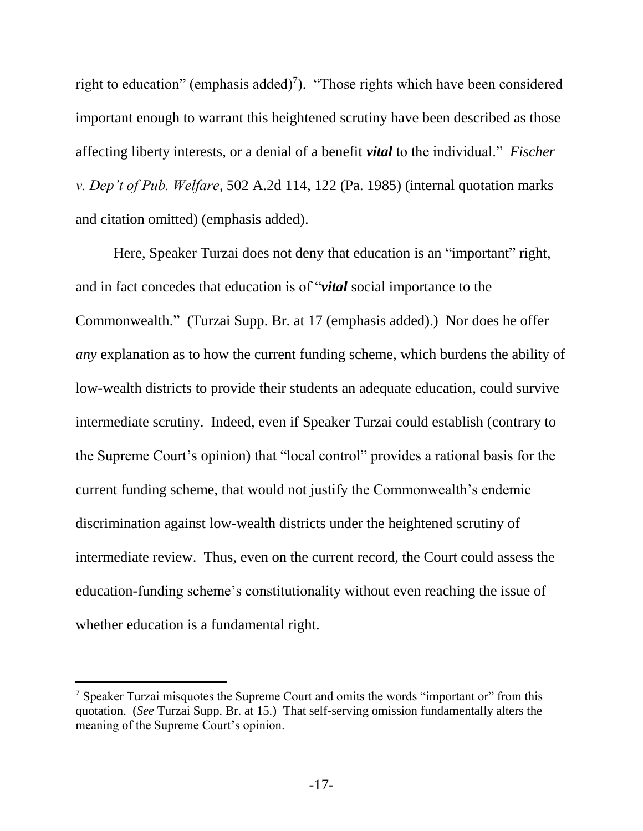<span id="page-23-0"></span>right to education" (emphasis added)<sup>7</sup>). "Those rights which have been considered important enough to warrant this heightened scrutiny have been described as those affecting liberty interests, or a denial of a benefit *vital* to the individual." *Fischer v. Dep't of Pub. Welfare*, 502 A.2d 114, 122 (Pa. 1985) (internal quotation marks and citation omitted) (emphasis added).

Here, Speaker Turzai does not deny that education is an "important" right, and in fact concedes that education is of "*vital* social importance to the Commonwealth." (Turzai Supp. Br. at 17 (emphasis added).) Nor does he offer *any* explanation as to how the current funding scheme, which burdens the ability of low-wealth districts to provide their students an adequate education, could survive intermediate scrutiny. Indeed, even if Speaker Turzai could establish (contrary to the Supreme Court's opinion) that "local control" provides a rational basis for the current funding scheme, that would not justify the Commonwealth's endemic discrimination against low-wealth districts under the heightened scrutiny of intermediate review. Thus, even on the current record, the Court could assess the education-funding scheme's constitutionality without even reaching the issue of whether education is a fundamental right.

l

 $<sup>7</sup>$  Speaker Turzai misquotes the Supreme Court and omits the words "important or" from this</sup> quotation. (*See* Turzai Supp. Br. at 15.) That self-serving omission fundamentally alters the meaning of the Supreme Court's opinion.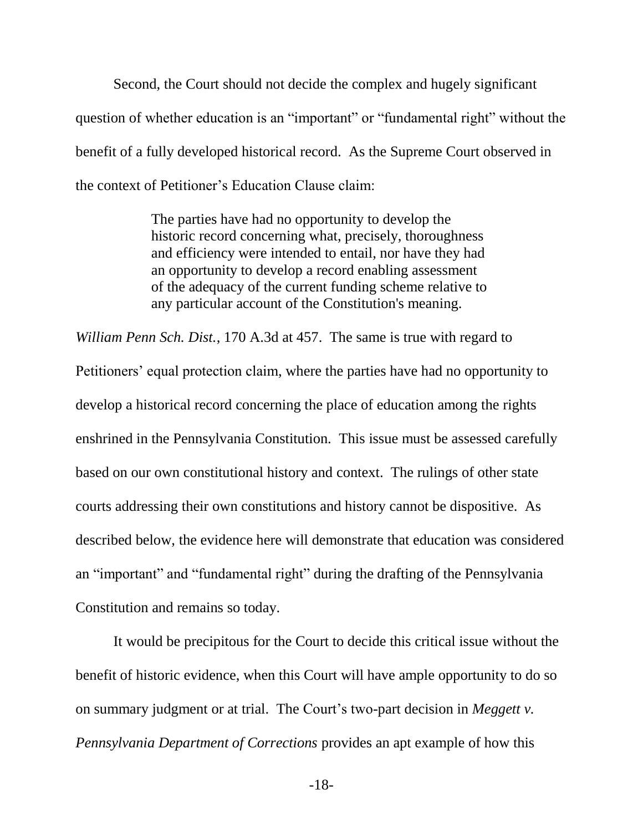Second, the Court should not decide the complex and hugely significant question of whether education is an "important" or "fundamental right" without the benefit of a fully developed historical record. As the Supreme Court observed in the context of Petitioner's Education Clause claim:

> The parties have had no opportunity to develop the historic record concerning what, precisely, thoroughness and efficiency were intended to entail, nor have they had an opportunity to develop a record enabling assessment of the adequacy of the current funding scheme relative to any particular account of the Constitution's meaning.

*William Penn Sch. Dist.*, 170 A.3d at 457. The same is true with regard to Petitioners' equal protection claim, where the parties have had no opportunity to develop a historical record concerning the place of education among the rights enshrined in the Pennsylvania Constitution. This issue must be assessed carefully based on our own constitutional history and context. The rulings of other state courts addressing their own constitutions and history cannot be dispositive. As described below, the evidence here will demonstrate that education was considered an "important" and "fundamental right" during the drafting of the Pennsylvania Constitution and remains so today.

It would be precipitous for the Court to decide this critical issue without the benefit of historic evidence, when this Court will have ample opportunity to do so on summary judgment or at trial. The Court's two-part decision in *Meggett v. Pennsylvania Department of Corrections* provides an apt example of how this

<span id="page-24-0"></span>-18-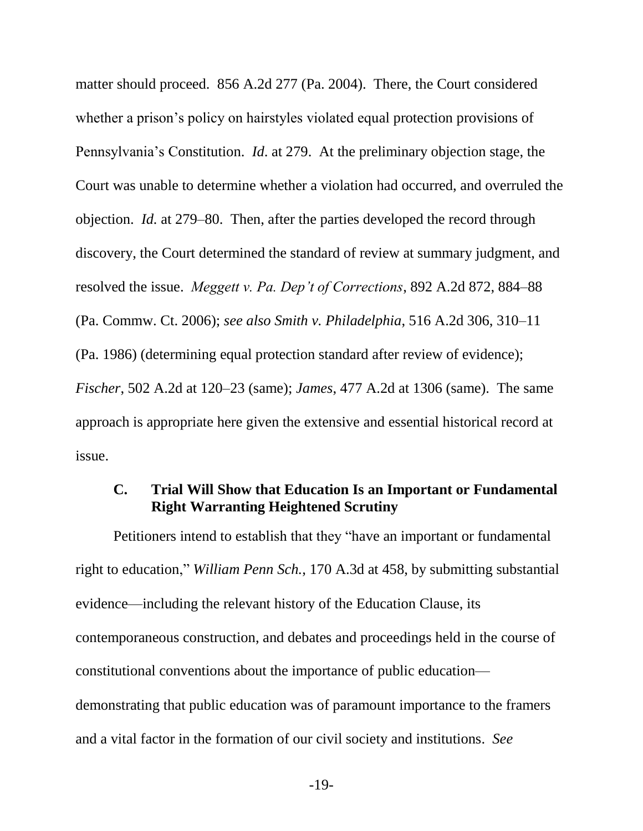<span id="page-25-3"></span>matter should proceed. 856 A.2d 277 (Pa. 2004). There, the Court considered whether a prison's policy on hairstyles violated equal protection provisions of Pennsylvania's Constitution. *Id*. at 279. At the preliminary objection stage, the Court was unable to determine whether a violation had occurred, and overruled the objection. *Id.* at 279–80. Then, after the parties developed the record through discovery, the Court determined the standard of review at summary judgment, and resolved the issue. *Meggett v. Pa. Dep't of Corrections*, 892 A.2d 872, 884–88 (Pa. Commw. Ct. 2006); *see also Smith v. Philadelphia*, 516 A.2d 306, 310–11 (Pa. 1986) (determining equal protection standard after review of evidence); *Fischer*, 502 A.2d at 120–23 (same); *James*, 477 A.2d at 1306 (same). The same approach is appropriate here given the extensive and essential historical record at issue.

### <span id="page-25-4"></span><span id="page-25-2"></span><span id="page-25-1"></span><span id="page-25-0"></span>**C. Trial Will Show that Education Is an Important or Fundamental Right Warranting Heightened Scrutiny**

Petitioners intend to establish that they "have an important or fundamental right to education," *William Penn Sch.*, 170 A.3d at 458, by submitting substantial evidence—including the relevant history of the Education Clause, its contemporaneous construction, and debates and proceedings held in the course of constitutional conventions about the importance of public education demonstrating that public education was of paramount importance to the framers and a vital factor in the formation of our civil society and institutions. *See*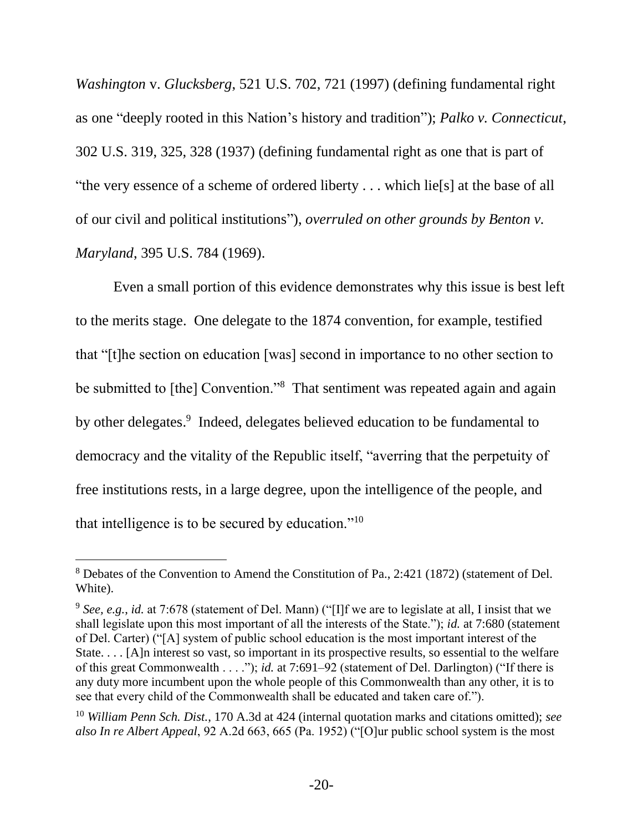<span id="page-26-2"></span><span id="page-26-1"></span>*Washington* v. *Glucksberg*, 521 U.S. 702, 721 (1997) (defining fundamental right as one "deeply rooted in this Nation's history and tradition"); *Palko v. Connecticut*, 302 U.S. 319, 325, 328 (1937) (defining fundamental right as one that is part of "the very essence of a scheme of ordered liberty . . . which lie[s] at the base of all of our civil and political institutions"), *overruled on other grounds by Benton v. Maryland*, 395 U.S. 784 (1969).

Even a small portion of this evidence demonstrates why this issue is best left to the merits stage. One delegate to the 1874 convention, for example, testified that "[t]he section on education [was] second in importance to no other section to be submitted to [the] Convention."<sup>8</sup> That sentiment was repeated again and again by other delegates.<sup>9</sup> Indeed, delegates believed education to be fundamental to democracy and the vitality of the Republic itself, "averring that the perpetuity of free institutions rests, in a large degree, upon the intelligence of the people, and that intelligence is to be secured by education."<sup>10</sup>

<sup>8</sup> Debates of the Convention to Amend the Constitution of Pa., 2:421 (1872) (statement of Del. White).

<sup>&</sup>lt;sup>9</sup> See, e.g., *id.* at 7:678 (statement of Del. Mann) ("[I]f we are to legislate at all, I insist that we shall legislate upon this most important of all the interests of the State."); *id.* at 7:680 (statement of Del. Carter) ("[A] system of public school education is the most important interest of the State. . . . [A]n interest so vast, so important in its prospective results, so essential to the welfare of this great Commonwealth . . . ."); *id.* at 7:691–92 (statement of Del. Darlington) ("If there is any duty more incumbent upon the whole people of this Commonwealth than any other, it is to see that every child of the Commonwealth shall be educated and taken care of.").

<span id="page-26-0"></span><sup>10</sup> *William Penn Sch. Dist.*, 170 A.3d at 424 (internal quotation marks and citations omitted); *see also In re Albert Appeal*, 92 A.2d 663, 665 (Pa. 1952) ("[O]ur public school system is the most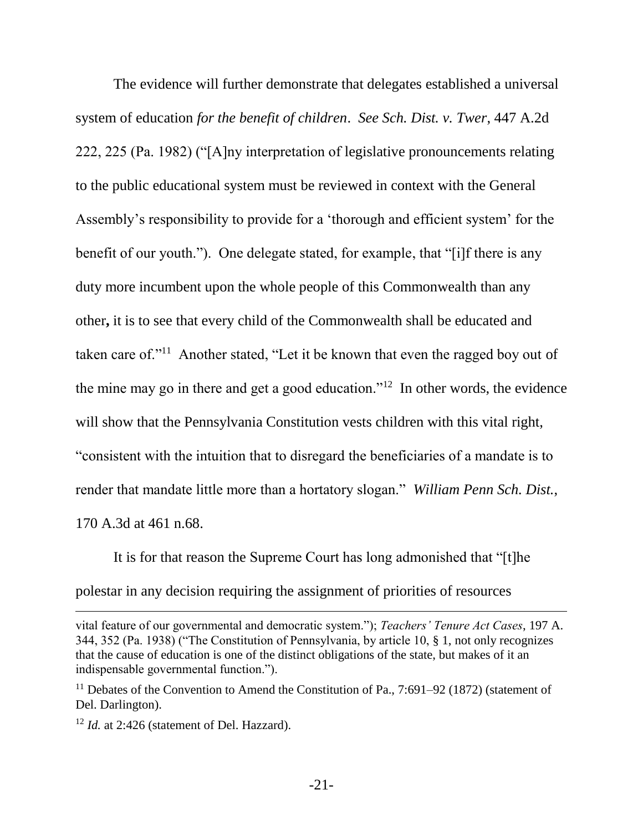The evidence will further demonstrate that delegates established a universal system of education *for the benefit of children*. *See Sch. Dist. v. Twer*, 447 A.2d 222, 225 (Pa. 1982) ("[A]ny interpretation of legislative pronouncements relating to the public educational system must be reviewed in context with the General Assembly's responsibility to provide for a 'thorough and efficient system' for the benefit of our youth."). One delegate stated, for example, that "[i]f there is any duty more incumbent upon the whole people of this Commonwealth than any other**,** it is to see that every child of the Commonwealth shall be educated and taken care of."<sup>11</sup> Another stated, "Let it be known that even the ragged boy out of the mine may go in there and get a good education."<sup>12</sup> In other words, the evidence will show that the Pennsylvania Constitution vests children with this vital right, "consistent with the intuition that to disregard the beneficiaries of a mandate is to render that mandate little more than a hortatory slogan." *William Penn Sch. Dist.*, 170 A.3d at 461 n.68.

It is for that reason the Supreme Court has long admonished that "[t]he polestar in any decision requiring the assignment of priorities of resources

l

vital feature of our governmental and democratic system."); *Teachers' Tenure Act Cases*, 197 A. 344, 352 (Pa. 1938) ("The Constitution of Pennsylvania, by article 10, § 1, not only recognizes that the cause of education is one of the distinct obligations of the state, but makes of it an indispensable governmental function.").

<sup>&</sup>lt;sup>11</sup> Debates of the Convention to Amend the Constitution of Pa.,  $7:691-92$  (1872) (statement of Del. Darlington).

<sup>&</sup>lt;sup>12</sup> *Id.* at 2:426 (statement of Del. Hazzard).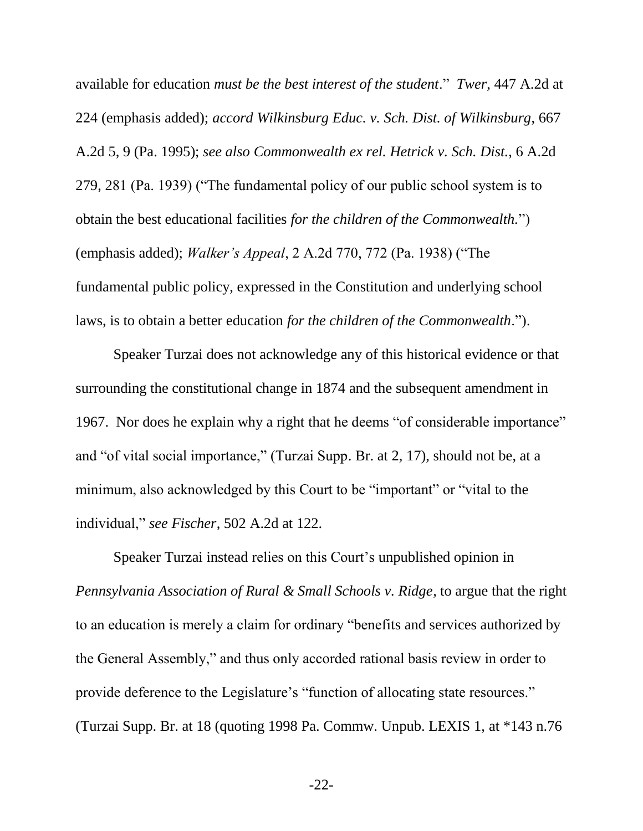<span id="page-28-4"></span><span id="page-28-3"></span><span id="page-28-0"></span>available for education *must be the best interest of the student*." *Twer*, 447 A.2d at 224 (emphasis added); *accord Wilkinsburg Educ. v. Sch. Dist. of Wilkinsburg*, 667 A.2d 5, 9 (Pa. 1995); *see also Commonwealth ex rel. Hetrick v. Sch. Dist.*, 6 A.2d 279, 281 (Pa. 1939) ("The fundamental policy of our public school system is to obtain the best educational facilities *for the children of the Commonwealth.*") (emphasis added); *Walker's Appeal*, 2 A.2d 770, 772 (Pa. 1938) ("The fundamental public policy, expressed in the Constitution and underlying school laws, is to obtain a better education *for the children of the Commonwealth*.").

Speaker Turzai does not acknowledge any of this historical evidence or that surrounding the constitutional change in 1874 and the subsequent amendment in 1967. Nor does he explain why a right that he deems "of considerable importance" and "of vital social importance," (Turzai Supp. Br. at 2, 17), should not be, at a minimum, also acknowledged by this Court to be "important" or "vital to the individual," *see Fischer*, 502 A.2d at 122.

<span id="page-28-2"></span><span id="page-28-1"></span>Speaker Turzai instead relies on this Court's unpublished opinion in *Pennsylvania Association of Rural & Small Schools v. Ridge*, to argue that the right to an education is merely a claim for ordinary "benefits and services authorized by the General Assembly," and thus only accorded rational basis review in order to provide deference to the Legislature's "function of allocating state resources." (Turzai Supp. Br. at 18 (quoting 1998 Pa. Commw. Unpub. LEXIS 1, at \*143 n.76

-22-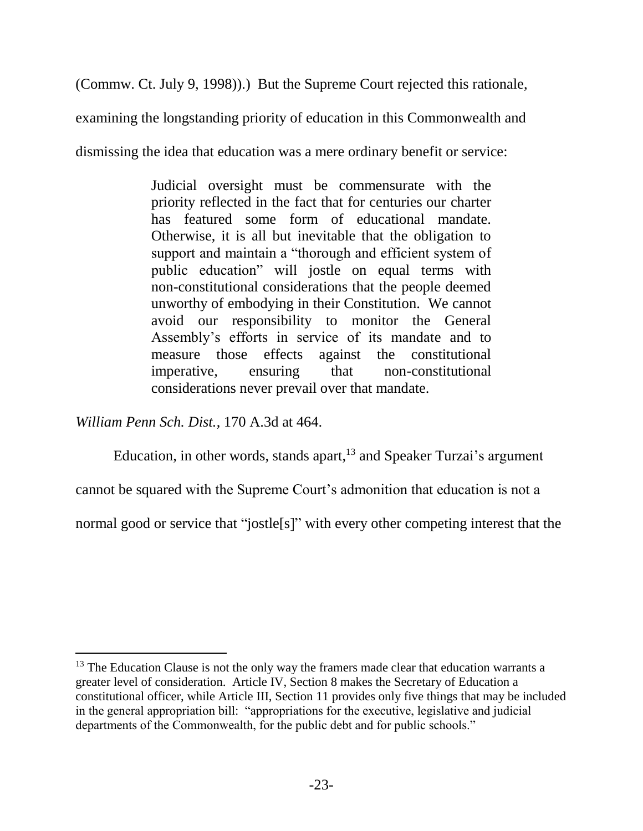(Commw. Ct. July 9, 1998)).) But the Supreme Court rejected this rationale,

examining the longstanding priority of education in this Commonwealth and

dismissing the idea that education was a mere ordinary benefit or service:

Judicial oversight must be commensurate with the priority reflected in the fact that for centuries our charter has featured some form of educational mandate. Otherwise, it is all but inevitable that the obligation to support and maintain a "thorough and efficient system of public education" will jostle on equal terms with non-constitutional considerations that the people deemed unworthy of embodying in their Constitution. We cannot avoid our responsibility to monitor the General Assembly's efforts in service of its mandate and to measure those effects against the constitutional imperative, ensuring that non-constitutional considerations never prevail over that mandate.

*William Penn Sch. Dist.*, 170 A.3d at 464.

 $\overline{a}$ 

Education, in other words, stands apart,  $13$  and Speaker Turzai's argument

cannot be squared with the Supreme Court's admonition that education is not a

normal good or service that "jostle<sup>[s]"</sup> with every other competing interest that the

<sup>&</sup>lt;sup>13</sup> The Education Clause is not the only way the framers made clear that education warrants a greater level of consideration. Article IV, Section 8 makes the Secretary of Education a constitutional officer, while Article III, Section 11 provides only five things that may be included in the general appropriation bill: "appropriations for the executive, legislative and judicial departments of the Commonwealth, for the public debt and for public schools."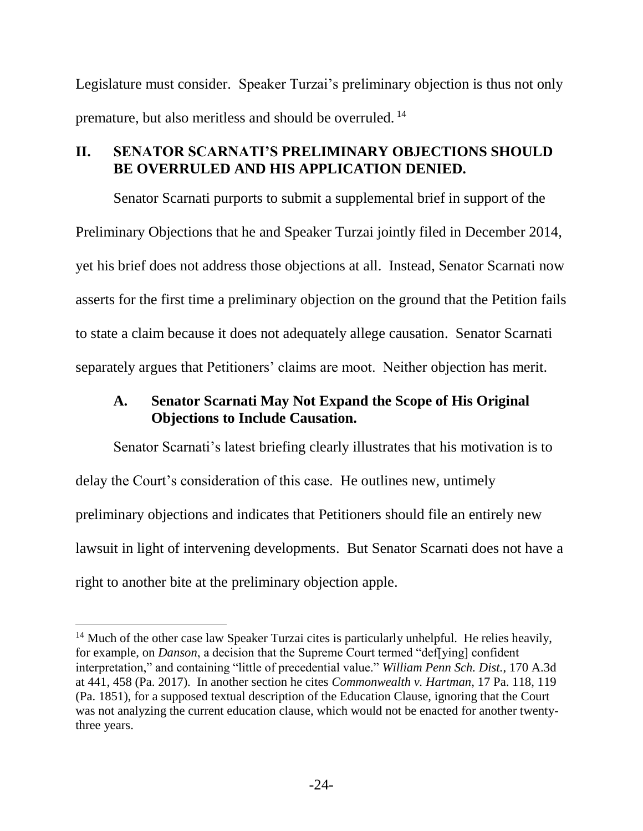Legislature must consider. Speaker Turzai's preliminary objection is thus not only premature, but also meritless and should be overruled. <sup>14</sup>

# <span id="page-30-0"></span>**II. SENATOR SCARNATI'S PRELIMINARY OBJECTIONS SHOULD BE OVERRULED AND HIS APPLICATION DENIED.**

Senator Scarnati purports to submit a supplemental brief in support of the Preliminary Objections that he and Speaker Turzai jointly filed in December 2014, yet his brief does not address those objections at all. Instead, Senator Scarnati now asserts for the first time a preliminary objection on the ground that the Petition fails to state a claim because it does not adequately allege causation. Senator Scarnati separately argues that Petitioners' claims are moot. Neither objection has merit.

# <span id="page-30-1"></span>**A. Senator Scarnati May Not Expand the Scope of His Original Objections to Include Causation.**

Senator Scarnati's latest briefing clearly illustrates that his motivation is to delay the Court's consideration of this case. He outlines new, untimely preliminary objections and indicates that Petitioners should file an entirely new lawsuit in light of intervening developments. But Senator Scarnati does not have a right to another bite at the preliminary objection apple.

l

<span id="page-30-3"></span><span id="page-30-2"></span> $14$  Much of the other case law Speaker Turzai cites is particularly unhelpful. He relies heavily, for example, on *Danson*, a decision that the Supreme Court termed "def[ying] confident interpretation," and containing "little of precedential value." *William Penn Sch. Dist.*, 170 A.3d at 441, 458 (Pa. 2017). In another section he cites *Commonwealth v. Hartman*, 17 Pa. 118, 119 (Pa. 1851), for a supposed textual description of the Education Clause, ignoring that the Court was not analyzing the current education clause, which would not be enacted for another twentythree years.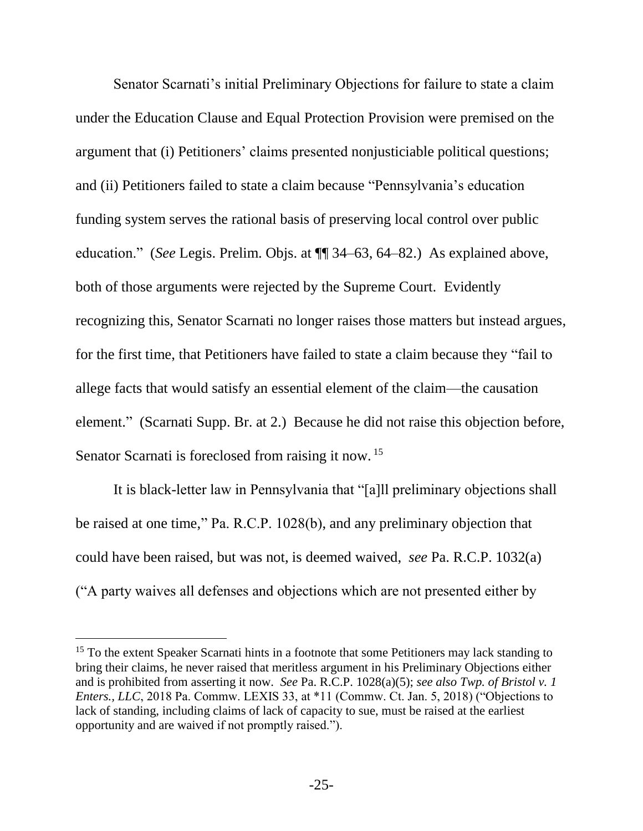Senator Scarnati's initial Preliminary Objections for failure to state a claim under the Education Clause and Equal Protection Provision were premised on the argument that (i) Petitioners' claims presented nonjusticiable political questions; and (ii) Petitioners failed to state a claim because "Pennsylvania's education funding system serves the rational basis of preserving local control over public education." (*See* Legis. Prelim. Objs. at ¶¶ 34–63, 64–82.) As explained above, both of those arguments were rejected by the Supreme Court. Evidently recognizing this, Senator Scarnati no longer raises those matters but instead argues, for the first time, that Petitioners have failed to state a claim because they "fail to allege facts that would satisfy an essential element of the claim—the causation element." (Scarnati Supp. Br. at 2.) Because he did not raise this objection before, Senator Scarnati is foreclosed from raising it now.<sup>15</sup>

<span id="page-31-3"></span><span id="page-31-2"></span>It is black-letter law in Pennsylvania that "[a]ll preliminary objections shall be raised at one time," Pa. R.C.P. 1028(b), and any preliminary objection that could have been raised, but was not, is deemed waived, *see* Pa. R.C.P. 1032(a) ("A party waives all defenses and objections which are not presented either by

<span id="page-31-1"></span><span id="page-31-0"></span><sup>&</sup>lt;sup>15</sup> To the extent Speaker Scarnati hints in a footnote that some Petitioners may lack standing to bring their claims, he never raised that meritless argument in his Preliminary Objections either and is prohibited from asserting it now. *See* Pa. R.C.P. 1028(a)(5); *see also Twp. of Bristol v. 1 Enters., LLC*, 2018 Pa. Commw. LEXIS 33, at \*11 (Commw. Ct. Jan. 5, 2018) ("Objections to lack of standing, including claims of lack of capacity to sue, must be raised at the earliest opportunity and are waived if not promptly raised.").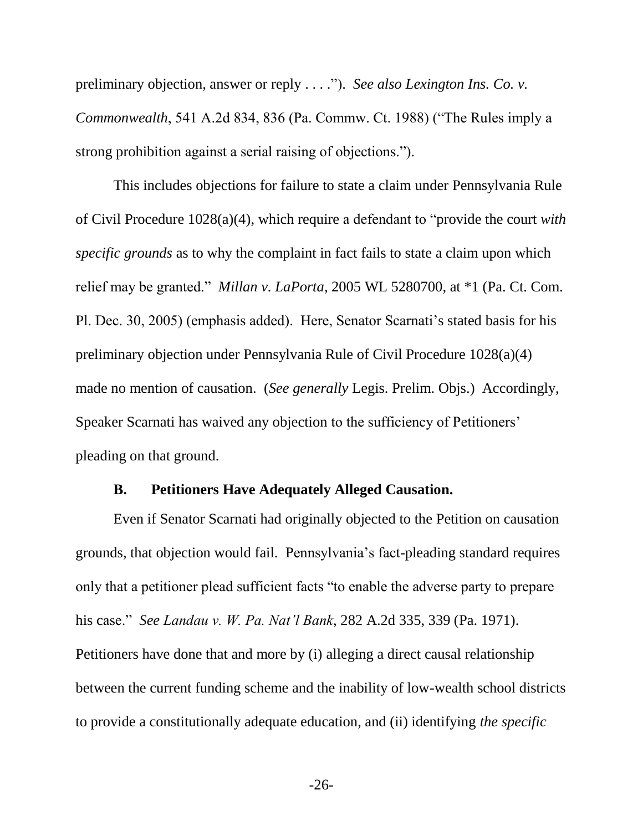<span id="page-32-2"></span>preliminary objection, answer or reply . . . ."). *See also Lexington Ins. Co. v. Commonwealth*, 541 A.2d 834, 836 (Pa. Commw. Ct. 1988) ("The Rules imply a strong prohibition against a serial raising of objections.").

<span id="page-32-3"></span>This includes objections for failure to state a claim under Pennsylvania Rule of Civil Procedure 1028(a)(4), which require a defendant to "provide the court *with specific grounds* as to why the complaint in fact fails to state a claim upon which relief may be granted." *Millan v. LaPorta*, 2005 WL 5280700, at \*1 (Pa. Ct. Com. Pl. Dec. 30, 2005) (emphasis added). Here, Senator Scarnati's stated basis for his preliminary objection under Pennsylvania Rule of Civil Procedure 1028(a)(4) made no mention of causation. (*See generally* Legis. Prelim. Objs.) Accordingly, Speaker Scarnati has waived any objection to the sufficiency of Petitioners' pleading on that ground.

#### **B. Petitioners Have Adequately Alleged Causation.**

<span id="page-32-1"></span><span id="page-32-0"></span>Even if Senator Scarnati had originally objected to the Petition on causation grounds, that objection would fail. Pennsylvania's fact-pleading standard requires only that a petitioner plead sufficient facts "to enable the adverse party to prepare his case." *See Landau v. W. Pa. Nat'l Bank*, 282 A.2d 335, 339 (Pa. 1971). Petitioners have done that and more by (i) alleging a direct causal relationship between the current funding scheme and the inability of low-wealth school districts to provide a constitutionally adequate education, and (ii) identifying *the specific*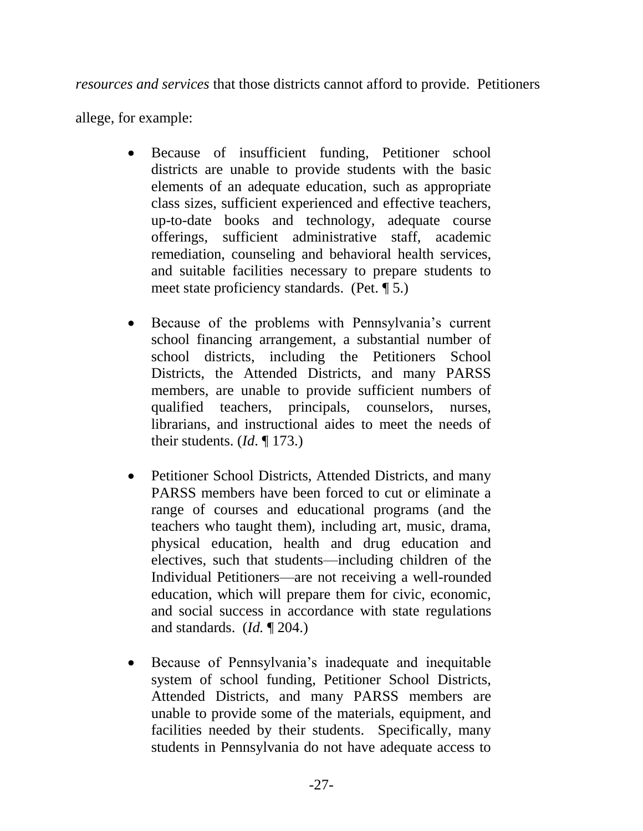*resources and services* that those districts cannot afford to provide. Petitioners

allege, for example:

- Because of insufficient funding, Petitioner school districts are unable to provide students with the basic elements of an adequate education, such as appropriate class sizes, sufficient experienced and effective teachers, up-to-date books and technology, adequate course offerings, sufficient administrative staff, academic remediation, counseling and behavioral health services, and suitable facilities necessary to prepare students to meet state proficiency standards. (Pet. ¶ 5.)
- Because of the problems with Pennsylvania's current school financing arrangement, a substantial number of school districts, including the Petitioners School Districts, the Attended Districts, and many PARSS members, are unable to provide sufficient numbers of qualified teachers, principals, counselors, nurses, librarians, and instructional aides to meet the needs of their students. (*Id*. ¶ 173.)
- Petitioner School Districts, Attended Districts, and many PARSS members have been forced to cut or eliminate a range of courses and educational programs (and the teachers who taught them), including art, music, drama, physical education, health and drug education and electives, such that students—including children of the Individual Petitioners—are not receiving a well-rounded education, which will prepare them for civic, economic, and social success in accordance with state regulations and standards. (*Id.* ¶ 204.)
- Because of Pennsylvania's inadequate and inequitable system of school funding, Petitioner School Districts, Attended Districts, and many PARSS members are unable to provide some of the materials, equipment, and facilities needed by their students. Specifically, many students in Pennsylvania do not have adequate access to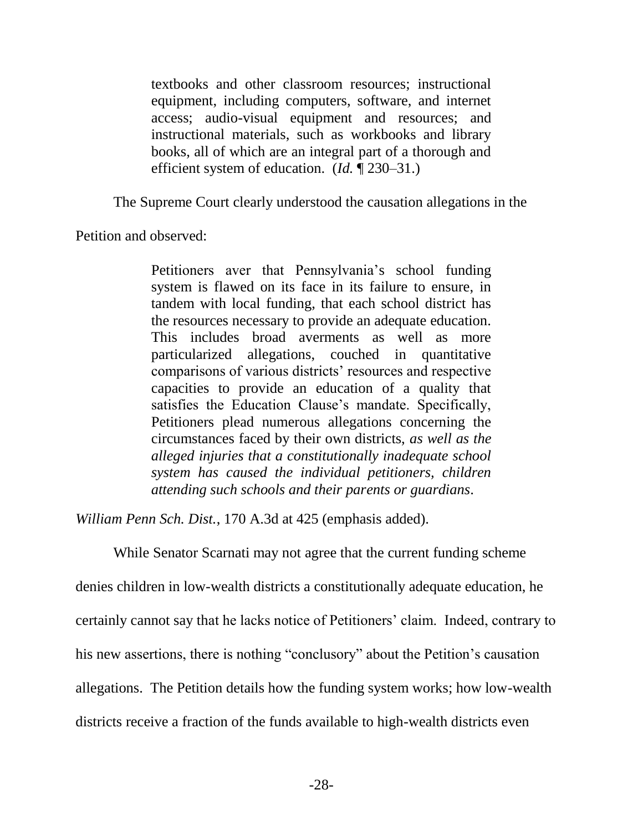textbooks and other classroom resources; instructional equipment, including computers, software, and internet access; audio-visual equipment and resources; and instructional materials, such as workbooks and library books, all of which are an integral part of a thorough and efficient system of education. (*Id.* ¶ 230–31.)

The Supreme Court clearly understood the causation allegations in the

Petition and observed:

Petitioners aver that Pennsylvania's school funding system is flawed on its face in its failure to ensure, in tandem with local funding, that each school district has the resources necessary to provide an adequate education. This includes broad averments as well as more particularized allegations, couched in quantitative comparisons of various districts' resources and respective capacities to provide an education of a quality that satisfies the Education Clause's mandate. Specifically, Petitioners plead numerous allegations concerning the circumstances faced by their own districts, *as well as the alleged injuries that a constitutionally inadequate school system has caused the individual petitioners, children attending such schools and their parents or guardians*.

*William Penn Sch. Dist.*, 170 A.3d at 425 (emphasis added).

While Senator Scarnati may not agree that the current funding scheme denies children in low-wealth districts a constitutionally adequate education, he certainly cannot say that he lacks notice of Petitioners' claim. Indeed, contrary to his new assertions, there is nothing "conclusory" about the Petition's causation allegations. The Petition details how the funding system works; how low-wealth districts receive a fraction of the funds available to high-wealth districts even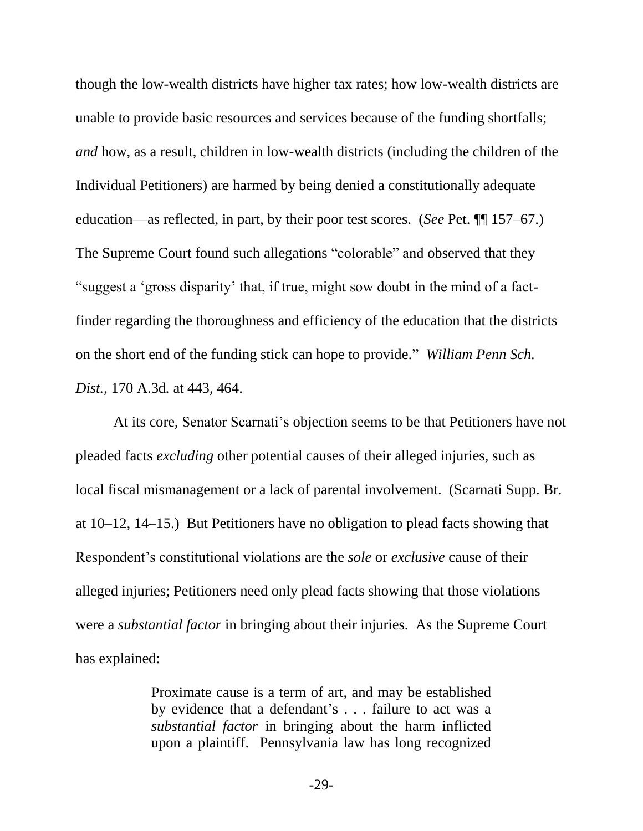though the low-wealth districts have higher tax rates; how low-wealth districts are unable to provide basic resources and services because of the funding shortfalls; *and* how, as a result, children in low-wealth districts (including the children of the Individual Petitioners) are harmed by being denied a constitutionally adequate education—as reflected, in part, by their poor test scores. (*See* Pet. ¶¶ 157–67.) The Supreme Court found such allegations "colorable" and observed that they "suggest a 'gross disparity' that, if true, might sow doubt in the mind of a factfinder regarding the thoroughness and efficiency of the education that the districts on the short end of the funding stick can hope to provide." *William Penn Sch. Dist.*, 170 A.3d*.* at 443, 464.

At its core, Senator Scarnati's objection seems to be that Petitioners have not pleaded facts *excluding* other potential causes of their alleged injuries, such as local fiscal mismanagement or a lack of parental involvement. (Scarnati Supp. Br. at 10–12, 14–15.) But Petitioners have no obligation to plead facts showing that Respondent's constitutional violations are the *sole* or *exclusive* cause of their alleged injuries; Petitioners need only plead facts showing that those violations were a *substantial factor* in bringing about their injuries. As the Supreme Court has explained:

> Proximate cause is a term of art, and may be established by evidence that a defendant's . . . failure to act was a *substantial factor* in bringing about the harm inflicted upon a plaintiff. Pennsylvania law has long recognized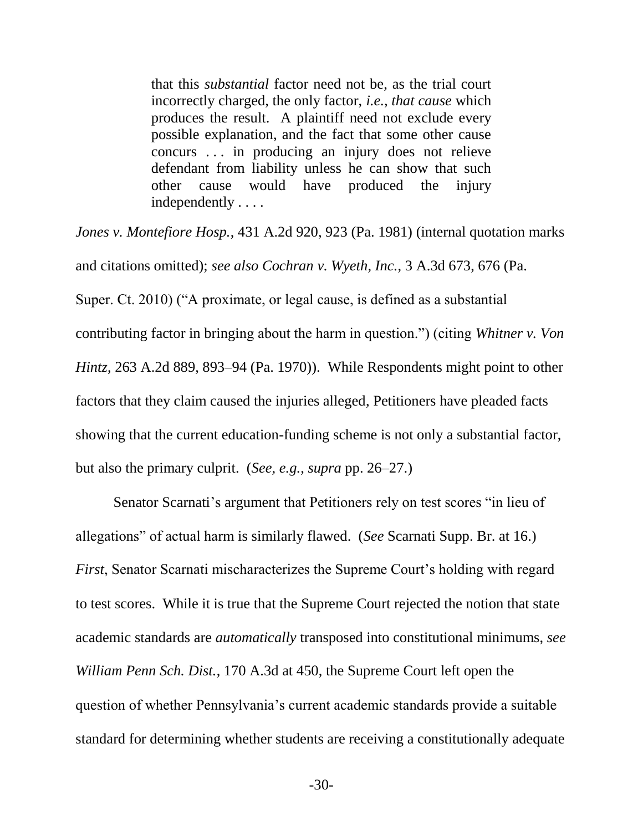that this *substantial* factor need not be, as the trial court incorrectly charged, the only factor, *i.e.*, *that cause* which produces the result. A plaintiff need not exclude every possible explanation, and the fact that some other cause concurs . . . in producing an injury does not relieve defendant from liability unless he can show that such other cause would have produced the injury independently . . . .

<span id="page-36-0"></span>*Jones v. Montefiore Hosp.*, 431 A.2d 920, 923 (Pa. 1981) (internal quotation marks and citations omitted); *see also Cochran v. Wyeth, Inc.*, 3 A.3d 673, 676 (Pa. Super. Ct. 2010) ("A proximate, or legal cause, is defined as a substantial contributing factor in bringing about the harm in question.") (citing *Whitner v. Von Hintz*, 263 A.2d 889, 893–94 (Pa. 1970)). While Respondents might point to other factors that they claim caused the injuries alleged, Petitioners have pleaded facts showing that the current education-funding scheme is not only a substantial factor, but also the primary culprit. (*See, e.g.*, *supra* pp. 26–27.)

Senator Scarnati's argument that Petitioners rely on test scores "in lieu of allegations" of actual harm is similarly flawed. (*See* Scarnati Supp. Br. at 16.) *First*, Senator Scarnati mischaracterizes the Supreme Court's holding with regard to test scores. While it is true that the Supreme Court rejected the notion that state academic standards are *automatically* transposed into constitutional minimums, *see William Penn Sch. Dist.*, 170 A.3d at 450, the Supreme Court left open the question of whether Pennsylvania's current academic standards provide a suitable standard for determining whether students are receiving a constitutionally adequate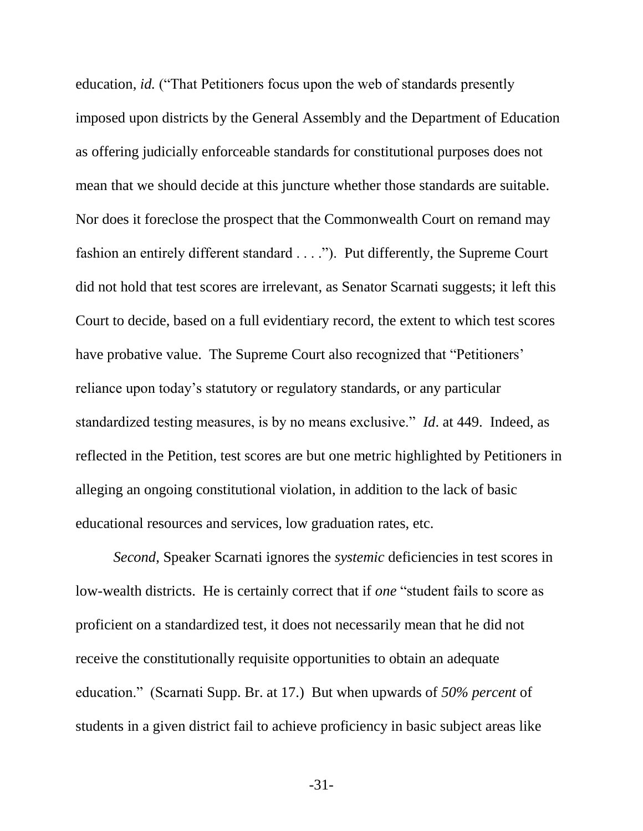education, *id.* ("That Petitioners focus upon the web of standards presently imposed upon districts by the General Assembly and the Department of Education as offering judicially enforceable standards for constitutional purposes does not mean that we should decide at this juncture whether those standards are suitable. Nor does it foreclose the prospect that the Commonwealth Court on remand may fashion an entirely different standard . . . ."). Put differently, the Supreme Court did not hold that test scores are irrelevant, as Senator Scarnati suggests; it left this Court to decide, based on a full evidentiary record, the extent to which test scores have probative value. The Supreme Court also recognized that "Petitioners' reliance upon today's statutory or regulatory standards, or any particular standardized testing measures, is by no means exclusive." *Id*. at 449. Indeed, as reflected in the Petition, test scores are but one metric highlighted by Petitioners in alleging an ongoing constitutional violation, in addition to the lack of basic educational resources and services, low graduation rates, etc.

*Second*, Speaker Scarnati ignores the *systemic* deficiencies in test scores in low-wealth districts. He is certainly correct that if *one* "student fails to score as proficient on a standardized test, it does not necessarily mean that he did not receive the constitutionally requisite opportunities to obtain an adequate education." (Scarnati Supp. Br. at 17.) But when upwards of *50% percent* of students in a given district fail to achieve proficiency in basic subject areas like

-31-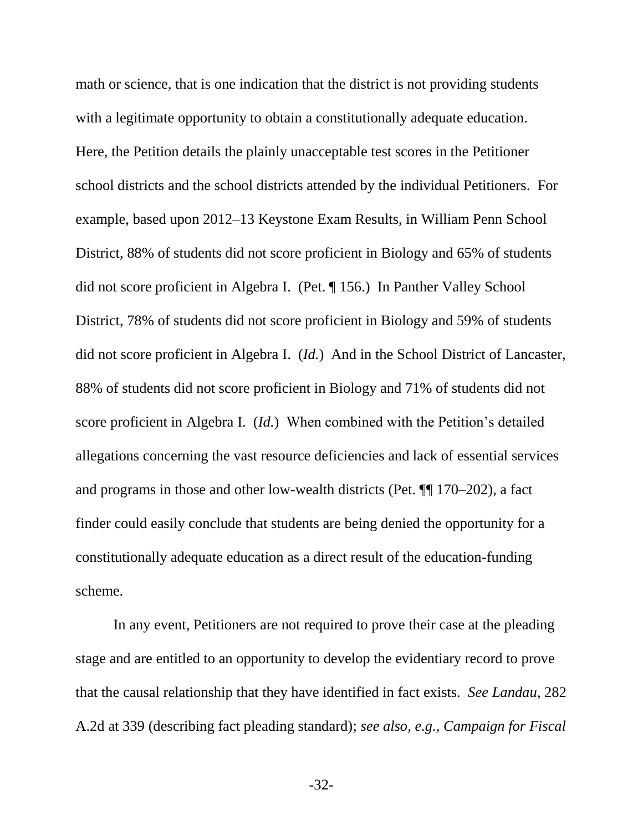math or science, that is one indication that the district is not providing students with a legitimate opportunity to obtain a constitutionally adequate education. Here, the Petition details the plainly unacceptable test scores in the Petitioner school districts and the school districts attended by the individual Petitioners. For example, based upon 2012–13 Keystone Exam Results, in William Penn School District, 88% of students did not score proficient in Biology and 65% of students did not score proficient in Algebra I. (Pet. ¶ 156.) In Panther Valley School District, 78% of students did not score proficient in Biology and 59% of students did not score proficient in Algebra I. (*Id.*) And in the School District of Lancaster, 88% of students did not score proficient in Biology and 71% of students did not score proficient in Algebra I. (*Id.*) When combined with the Petition's detailed allegations concerning the vast resource deficiencies and lack of essential services and programs in those and other low-wealth districts (Pet. ¶¶ 170–202), a fact finder could easily conclude that students are being denied the opportunity for a constitutionally adequate education as a direct result of the education-funding scheme.

In any event, Petitioners are not required to prove their case at the pleading stage and are entitled to an opportunity to develop the evidentiary record to prove that the causal relationship that they have identified in fact exists. *See Landau*, 282 A.2d at 339 (describing fact pleading standard); *see also, e.g., Campaign for Fiscal* 

<span id="page-38-1"></span><span id="page-38-0"></span>-32-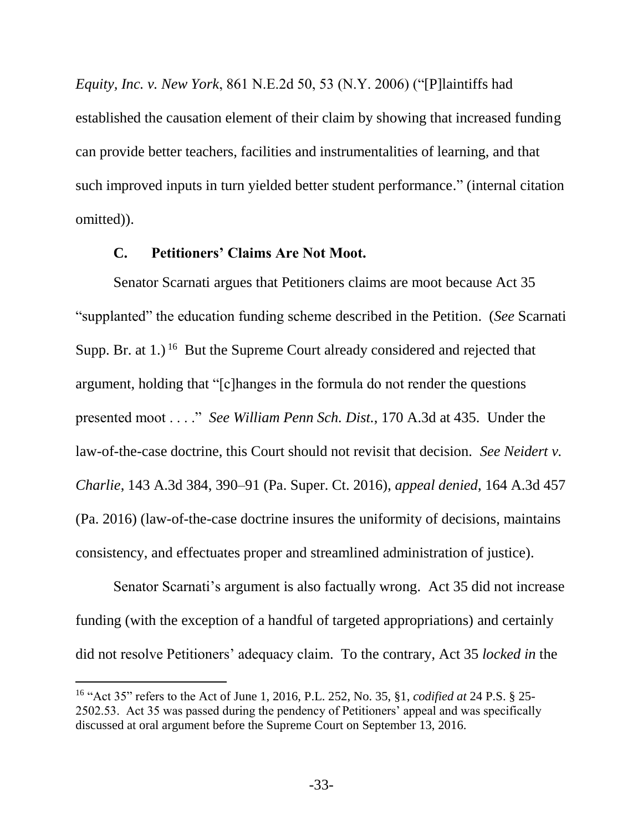*Equity, Inc. v. New York*, 861 N.E.2d 50, 53 (N.Y. 2006) ("[P]laintiffs had established the causation element of their claim by showing that increased funding can provide better teachers, facilities and instrumentalities of learning, and that such improved inputs in turn yielded better student performance." (internal citation omitted)).

#### <span id="page-39-1"></span>**C. Petitioners' Claims Are Not Moot.**

<span id="page-39-0"></span>Senator Scarnati argues that Petitioners claims are moot because Act 35 "supplanted" the education funding scheme described in the Petition. (*See* Scarnati Supp. Br. at  $1$ .)<sup>16</sup> But the Supreme Court already considered and rejected that argument, holding that "[c]hanges in the formula do not render the questions presented moot . . . ." *See William Penn Sch. Dist.*, 170 A.3d at 435. Under the law-of-the-case doctrine, this Court should not revisit that decision. *See Neidert v. Charlie*, 143 A.3d 384, 390–91 (Pa. Super. Ct. 2016), *appeal denied*, 164 A.3d 457 (Pa. 2016) (law-of-the-case doctrine insures the uniformity of decisions, maintains consistency, and effectuates proper and streamlined administration of justice).

Senator Scarnati's argument is also factually wrong. Act 35 did not increase funding (with the exception of a handful of targeted appropriations) and certainly did not resolve Petitioners' adequacy claim. To the contrary, Act 35 *locked in* the

l

<sup>16</sup> "Act 35" refers to the Act of June 1, 2016, P.L. 252, No. 35, §1, *codified at* 24 P.S. § 25- 2502.53. Act 35 was passed during the pendency of Petitioners' appeal and was specifically discussed at oral argument before the Supreme Court on September 13, 2016.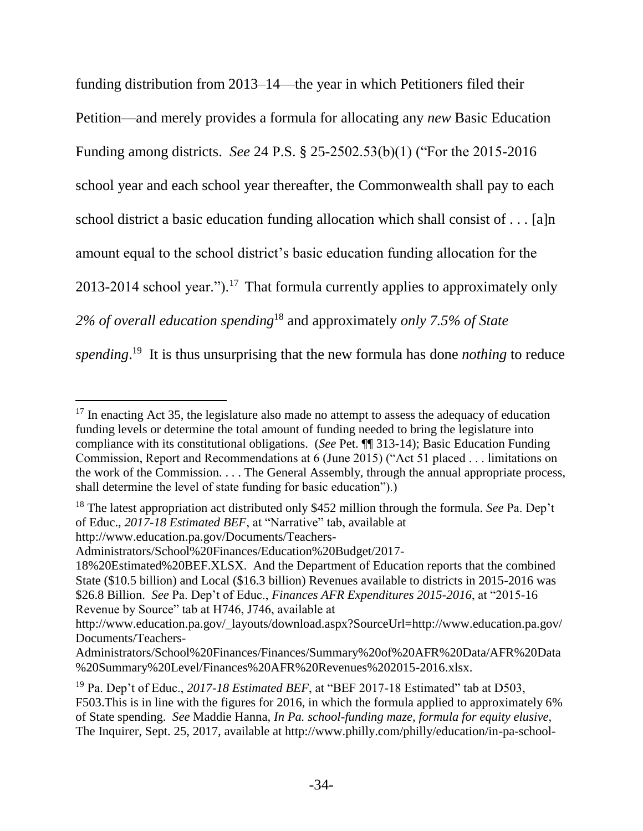funding distribution from 2013–14—the year in which Petitioners filed their Petition—and merely provides a formula for allocating any *new* Basic Education Funding among districts. *See* 24 P.S. § 25-2502.53(b)(1) ("For the 2015-2016 school year and each school year thereafter, the Commonwealth shall pay to each school district a basic education funding allocation which shall consist of . . . [a]n amount equal to the school district's basic education funding allocation for the 2013-2014 school year.").<sup>17</sup> That formula currently applies to approximately only *2% of overall education spending*<sup>18</sup> and approximately *only 7.5% of State*  spending.<sup>19</sup> It is thus unsurprising that the new formula has done *nothing* to reduce

http://www.education.pa.gov/Documents/Teachers-

 $17$  In enacting Act 35, the legislature also made no attempt to assess the adequacy of education funding levels or determine the total amount of funding needed to bring the legislature into compliance with its constitutional obligations. (*See* Pet. ¶¶ 313-14); Basic Education Funding Commission, Report and Recommendations at 6 (June 2015) ("Act 51 placed . . . limitations on the work of the Commission. . . . The General Assembly, through the annual appropriate process, shall determine the level of state funding for basic education").)

<sup>18</sup> The latest appropriation act distributed only \$452 million through the formula. *See* Pa. Dep't of Educ., *2017-18 Estimated BEF*, at "Narrative" tab, available at

Administrators/School%20Finances/Education%20Budget/2017-

<sup>18%20</sup>Estimated%20BEF.XLSX. And the Department of Education reports that the combined State (\$10.5 billion) and Local (\$16.3 billion) Revenues available to districts in 2015-2016 was \$26.8 Billion. *See* Pa. Dep't of Educ., *Finances AFR Expenditures 2015-2016*, at "2015-16 Revenue by Source" tab at H746, J746, available at

http://www.education.pa.gov/\_layouts/download.aspx?SourceUrl=http://www.education.pa.gov/ Documents/Teachers-

Administrators/School%20Finances/Finances/Summary%20of%20AFR%20Data/AFR%20Data %20Summary%20Level/Finances%20AFR%20Revenues%202015-2016.xlsx.

<sup>&</sup>lt;sup>19</sup> Pa. Dep't of Educ., 2017-18 *Estimated BEF*, at "BEF 2017-18 Estimated" tab at D503, F503.This is in line with the figures for 2016, in which the formula applied to approximately 6% of State spending. *See* Maddie Hanna, *In Pa. school-funding maze, formula for equity elusive*, The Inquirer, Sept. 25, 2017, available at http://www.philly.com/philly/education/in-pa-school-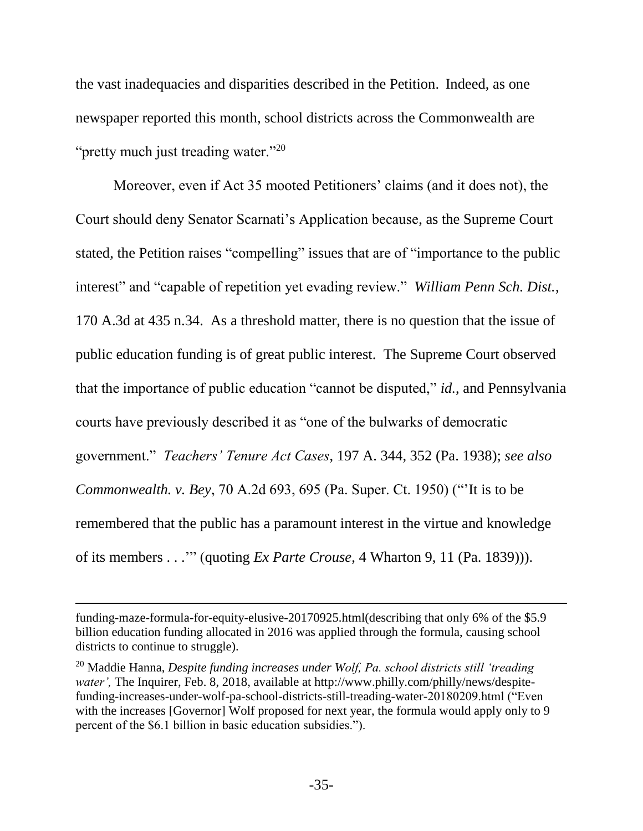the vast inadequacies and disparities described in the Petition. Indeed, as one newspaper reported this month, school districts across the Commonwealth are "pretty much just treading water."<sup>20</sup>

Moreover, even if Act 35 mooted Petitioners' claims (and it does not), the Court should deny Senator Scarnati's Application because, as the Supreme Court stated, the Petition raises "compelling" issues that are of "importance to the public interest" and "capable of repetition yet evading review." *William Penn Sch. Dist.*, 170 A.3d at 435 n.34. As a threshold matter, there is no question that the issue of public education funding is of great public interest. The Supreme Court observed that the importance of public education "cannot be disputed," *id.*, and Pennsylvania courts have previously described it as "one of the bulwarks of democratic government." *Teachers' Tenure Act Cases*, 197 A. 344, 352 (Pa. 1938); *see also Commonwealth. v. Bey*, 70 A.2d 693, 695 (Pa. Super. Ct. 1950) ("'It is to be remembered that the public has a paramount interest in the virtue and knowledge of its members . . .'" (quoting *Ex Parte Crouse*, 4 Wharton 9, 11 (Pa. 1839))).

<span id="page-41-0"></span>l

funding-maze-formula-for-equity-elusive-20170925.html(describing that only 6% of the \$5.9 billion education funding allocated in 2016 was applied through the formula, causing school districts to continue to struggle).

<sup>20</sup> Maddie Hanna, *Despite funding increases under Wolf, Pa. school districts still 'treading water',* The Inquirer, Feb. 8, 2018, available at http://www.philly.com/philly/news/despitefunding-increases-under-wolf-pa-school-districts-still-treading-water-20180209.html ("Even with the increases [Governor] Wolf proposed for next year, the formula would apply only to 9 percent of the \$6.1 billion in basic education subsidies.").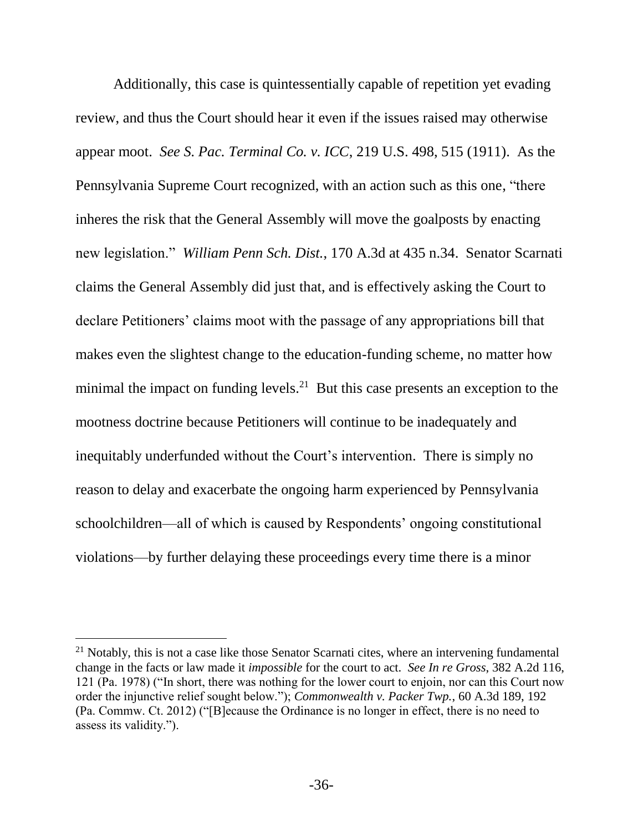<span id="page-42-2"></span>Additionally, this case is quintessentially capable of repetition yet evading review, and thus the Court should hear it even if the issues raised may otherwise appear moot. *See S. Pac. Terminal Co. v. ICC*, 219 U.S. 498, 515 (1911). As the Pennsylvania Supreme Court recognized, with an action such as this one, "there inheres the risk that the General Assembly will move the goalposts by enacting new legislation." *William Penn Sch. Dist.*, 170 A.3d at 435 n.34. Senator Scarnati claims the General Assembly did just that, and is effectively asking the Court to declare Petitioners' claims moot with the passage of any appropriations bill that makes even the slightest change to the education-funding scheme, no matter how minimal the impact on funding levels. $^{21}$  But this case presents an exception to the mootness doctrine because Petitioners will continue to be inadequately and inequitably underfunded without the Court's intervention. There is simply no reason to delay and exacerbate the ongoing harm experienced by Pennsylvania schoolchildren—all of which is caused by Respondents' ongoing constitutional violations—by further delaying these proceedings every time there is a minor

<span id="page-42-1"></span><span id="page-42-0"></span><sup>&</sup>lt;sup>21</sup> Notably, this is not a case like those Senator Scarnati cites, where an intervening fundamental change in the facts or law made it *impossible* for the court to act. *See In re Gross*, 382 A.2d 116, 121 (Pa. 1978) ("In short, there was nothing for the lower court to enjoin, nor can this Court now order the injunctive relief sought below."); *Commonwealth v. Packer Twp.*, 60 A.3d 189, 192 (Pa. Commw. Ct. 2012) ("[B]ecause the Ordinance is no longer in effect, there is no need to assess its validity.").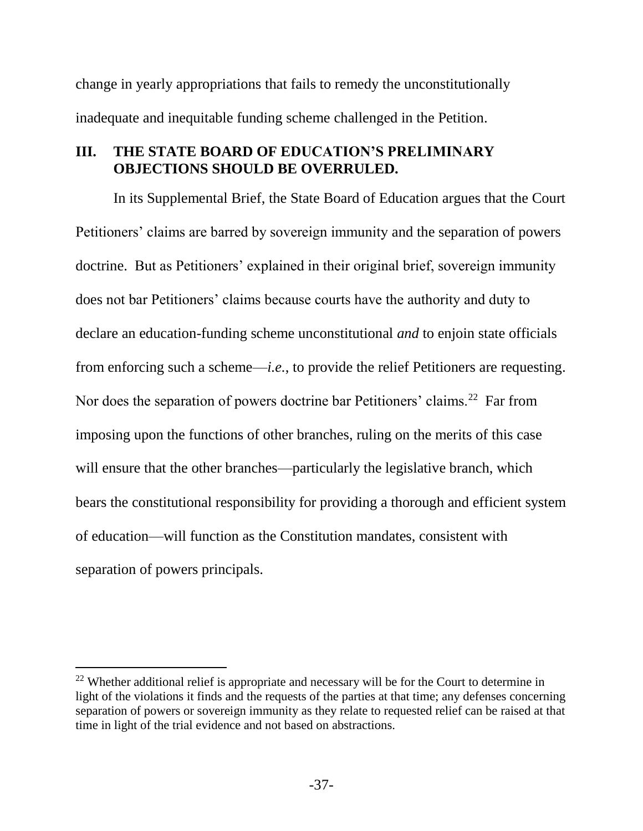change in yearly appropriations that fails to remedy the unconstitutionally inadequate and inequitable funding scheme challenged in the Petition.

# <span id="page-43-0"></span>**III. THE STATE BOARD OF EDUCATION'S PRELIMINARY OBJECTIONS SHOULD BE OVERRULED.**

In its Supplemental Brief, the State Board of Education argues that the Court Petitioners' claims are barred by sovereign immunity and the separation of powers doctrine. But as Petitioners' explained in their original brief, sovereign immunity does not bar Petitioners' claims because courts have the authority and duty to declare an education-funding scheme unconstitutional *and* to enjoin state officials from enforcing such a scheme—*i.e.*, to provide the relief Petitioners are requesting. Nor does the separation of powers doctrine bar Petitioners' claims.<sup>22</sup> Far from imposing upon the functions of other branches, ruling on the merits of this case will ensure that the other branches—particularly the legislative branch, which bears the constitutional responsibility for providing a thorough and efficient system of education—will function as the Constitution mandates, consistent with separation of powers principals.

 $22$  Whether additional relief is appropriate and necessary will be for the Court to determine in light of the violations it finds and the requests of the parties at that time; any defenses concerning separation of powers or sovereign immunity as they relate to requested relief can be raised at that time in light of the trial evidence and not based on abstractions.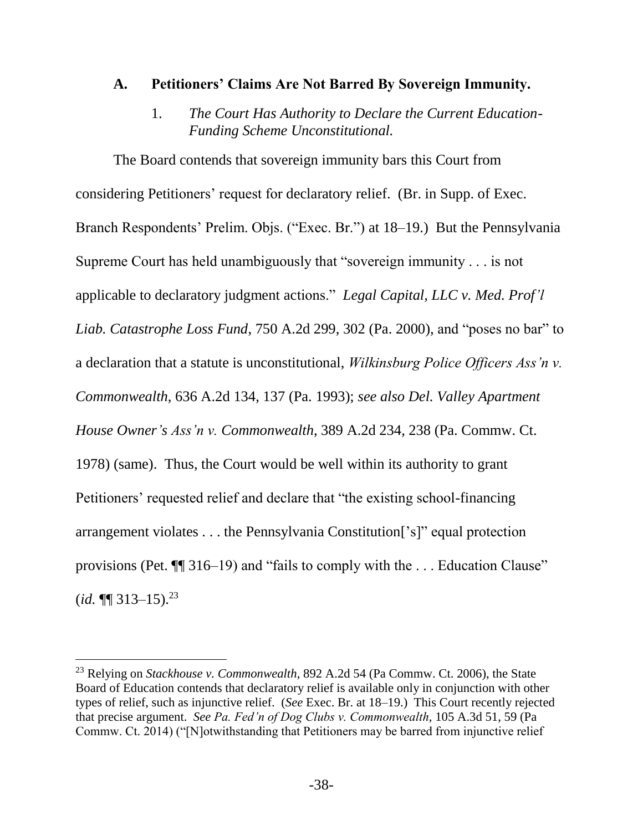#### <span id="page-44-0"></span>**A. Petitioners' Claims Are Not Barred By Sovereign Immunity.**

<span id="page-44-5"></span><span id="page-44-2"></span>1. *The Court Has Authority to Declare the Current Education-Funding Scheme Unconstitutional.*

<span id="page-44-1"></span>The Board contends that sovereign immunity bars this Court from considering Petitioners' request for declaratory relief. (Br. in Supp. of Exec. Branch Respondents' Prelim. Objs. ("Exec. Br.") at 18–19.) But the Pennsylvania Supreme Court has held unambiguously that "sovereign immunity . . . is not applicable to declaratory judgment actions." *Legal Capital, LLC v. Med. Prof'l Liab. Catastrophe Loss Fund*, 750 A.2d 299, 302 (Pa. 2000), and "poses no bar" to a declaration that a statute is unconstitutional, *Wilkinsburg Police Officers Ass'n v. Commonwealth*, 636 A.2d 134, 137 (Pa. 1993); *see also Del. Valley Apartment House Owner's Ass'n v. Commonwealth*, 389 A.2d 234, 238 (Pa. Commw. Ct. 1978) (same). Thus, the Court would be well within its authority to grant Petitioners' requested relief and declare that "the existing school-financing arrangement violates . . . the Pennsylvania Constitution['s]" equal protection provisions (Pet. ¶¶ 316–19) and "fails to comply with the . . . Education Clause"  $(id. \P\P 313 - 15).^{23}$ 

<span id="page-44-4"></span><span id="page-44-3"></span><sup>23</sup> Relying on *Stackhouse v. Commonwealth*, 892 A.2d 54 (Pa Commw. Ct. 2006), the State Board of Education contends that declaratory relief is available only in conjunction with other types of relief, such as injunctive relief. (*See* Exec. Br. at 18–19.) This Court recently rejected that precise argument. *See Pa. Fed'n of Dog Clubs v. Commonwealth*, 105 A.3d 51, 59 (Pa Commw. Ct. 2014) ("[N]otwithstanding that Petitioners may be barred from injunctive relief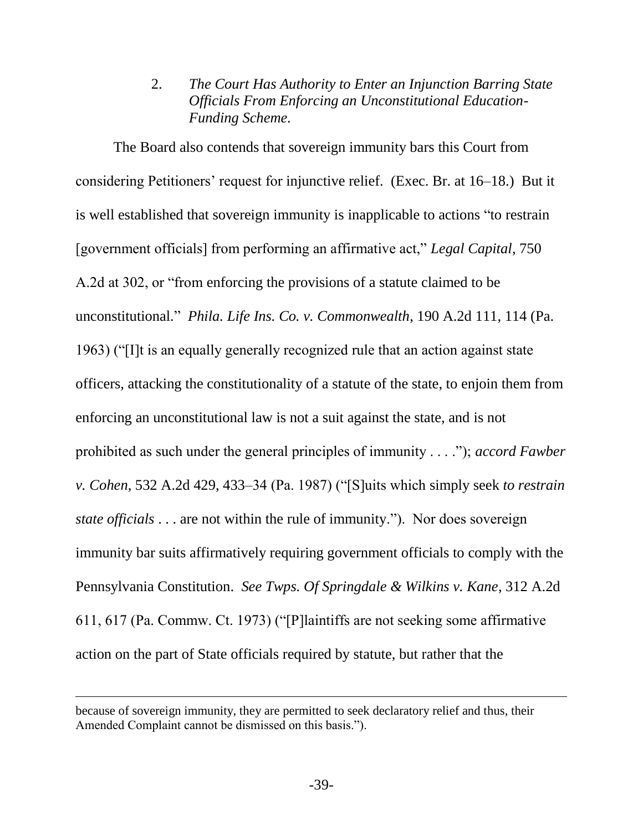<span id="page-45-2"></span>2. *The Court Has Authority to Enter an Injunction Barring State Officials From Enforcing an Unconstitutional Education-Funding Scheme.*

<span id="page-45-0"></span>The Board also contends that sovereign immunity bars this Court from considering Petitioners' request for injunctive relief. (Exec. Br. at 16–18.) But it is well established that sovereign immunity is inapplicable to actions "to restrain [government officials] from performing an affirmative act," *Legal Capital*, 750 A.2d at 302, or "from enforcing the provisions of a statute claimed to be unconstitutional*.*" *Phila. Life Ins. Co. v. Commonwealth*, 190 A.2d 111, 114 (Pa. 1963) ("[I]t is an equally generally recognized rule that an action against state officers, attacking the constitutionality of a statute of the state, to enjoin them from enforcing an unconstitutional law is not a suit against the state, and is not prohibited as such under the general principles of immunity . . . ."); *accord Fawber v. Cohen*, 532 A.2d 429, 433–34 (Pa. 1987) ("[S]uits which simply seek *to restrain state officials* . . . are not within the rule of immunity."). Nor does sovereign immunity bar suits affirmatively requiring government officials to comply with the Pennsylvania Constitution. *See Twps. Of Springdale & Wilkins v. Kane*, 312 A.2d 611, 617 (Pa. Commw. Ct. 1973) ("[P]laintiffs are not seeking some affirmative action on the part of State officials required by statute, but rather that the

<span id="page-45-3"></span><span id="page-45-1"></span>l

because of sovereign immunity, they are permitted to seek declaratory relief and thus, their Amended Complaint cannot be dismissed on this basis.").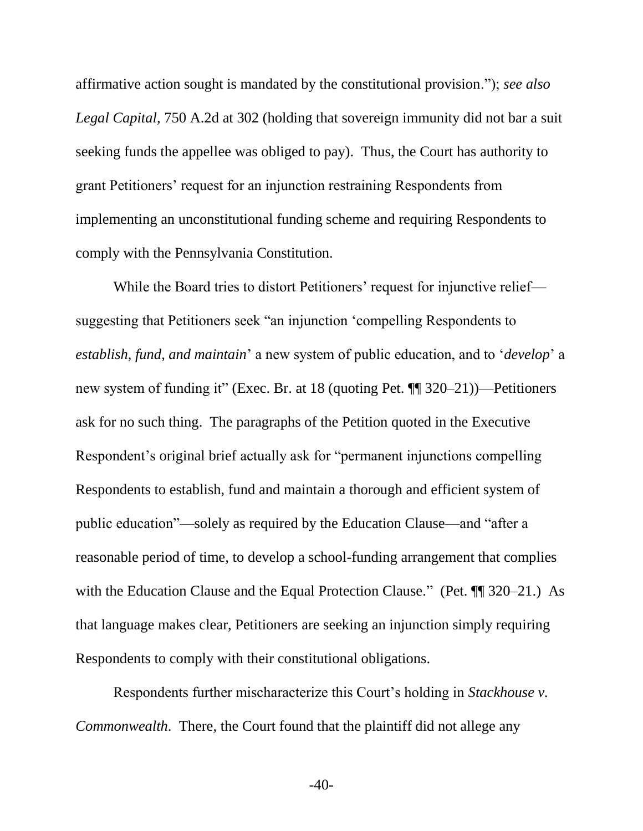<span id="page-46-0"></span>affirmative action sought is mandated by the constitutional provision."); *see also Legal Capital*, 750 A.2d at 302 (holding that sovereign immunity did not bar a suit seeking funds the appellee was obliged to pay). Thus, the Court has authority to grant Petitioners' request for an injunction restraining Respondents from implementing an unconstitutional funding scheme and requiring Respondents to comply with the Pennsylvania Constitution.

While the Board tries to distort Petitioners' request for injunctive relief suggesting that Petitioners seek "an injunction 'compelling Respondents to *establish, fund, and maintain*' a new system of public education, and to '*develop*' a new system of funding it" (Exec. Br. at 18 (quoting Pet. ¶¶ 320–21))—Petitioners ask for no such thing. The paragraphs of the Petition quoted in the Executive Respondent's original brief actually ask for "permanent injunctions compelling Respondents to establish, fund and maintain a thorough and efficient system of public education"—solely as required by the Education Clause—and "after a reasonable period of time, to develop a school-funding arrangement that complies with the Education Clause and the Equal Protection Clause." (Pet.  $\P$  320–21.) As that language makes clear, Petitioners are seeking an injunction simply requiring Respondents to comply with their constitutional obligations.

<span id="page-46-1"></span>Respondents further mischaracterize this Court's holding in *Stackhouse v. Commonwealth*. There, the Court found that the plaintiff did not allege any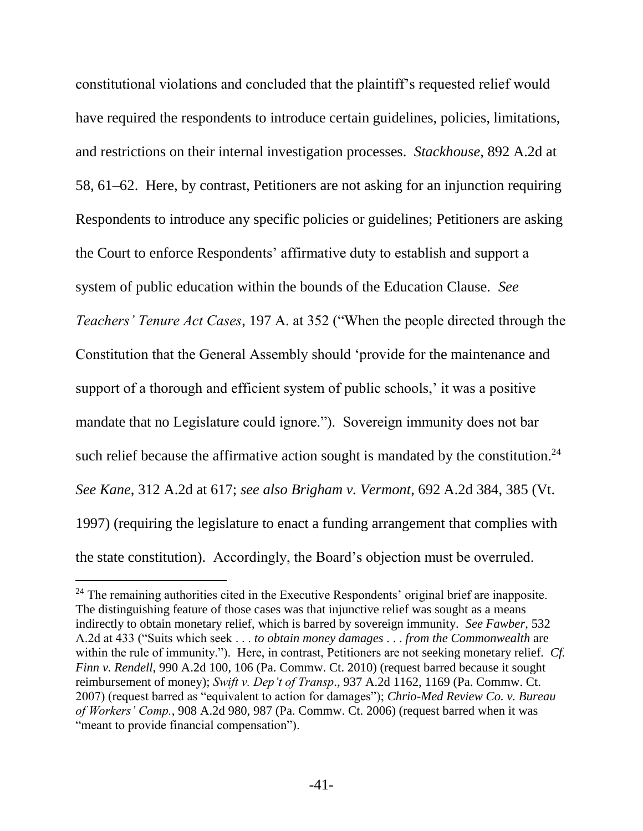constitutional violations and concluded that the plaintiff's requested relief would have required the respondents to introduce certain guidelines, policies, limitations, and restrictions on their internal investigation processes. *Stackhouse*, 892 A.2d at 58, 61–62. Here, by contrast, Petitioners are not asking for an injunction requiring Respondents to introduce any specific policies or guidelines; Petitioners are asking the Court to enforce Respondents' affirmative duty to establish and support a system of public education within the bounds of the Education Clause. *See Teachers' Tenure Act Cases*, 197 A. at 352 ("When the people directed through the Constitution that the General Assembly should 'provide for the maintenance and support of a thorough and efficient system of public schools,' it was a positive mandate that no Legislature could ignore."). Sovereign immunity does not bar such relief because the affirmative action sought is mandated by the constitution.<sup>24</sup> *See Kane*, 312 A.2d at 617; *see also Brigham v. Vermont*, 692 A.2d 384, 385 (Vt. 1997) (requiring the legislature to enact a funding arrangement that complies with the state constitution). Accordingly, the Board's objection must be overruled.

<span id="page-47-5"></span><span id="page-47-4"></span><span id="page-47-3"></span><span id="page-47-2"></span><span id="page-47-1"></span><span id="page-47-0"></span><sup>&</sup>lt;sup>24</sup> The remaining authorities cited in the Executive Respondents' original brief are inapposite. The distinguishing feature of those cases was that injunctive relief was sought as a means indirectly to obtain monetary relief, which is barred by sovereign immunity. *See Fawber*, 532 A.2d at 433 ("Suits which seek . . . *to obtain money damages* . . . *from the Commonwealth* are within the rule of immunity."). Here, in contrast, Petitioners are not seeking monetary relief*. Cf. Finn v. Rendell*, 990 A.2d 100, 106 (Pa. Commw. Ct. 2010) (request barred because it sought reimbursement of money); *Swift v. Dep't of Transp*., 937 A.2d 1162, 1169 (Pa. Commw. Ct. 2007) (request barred as "equivalent to action for damages"); *Chrio-Med Review Co. v. Bureau of Workers' Comp.*, 908 A.2d 980, 987 (Pa. Commw. Ct. 2006) (request barred when it was "meant to provide financial compensation").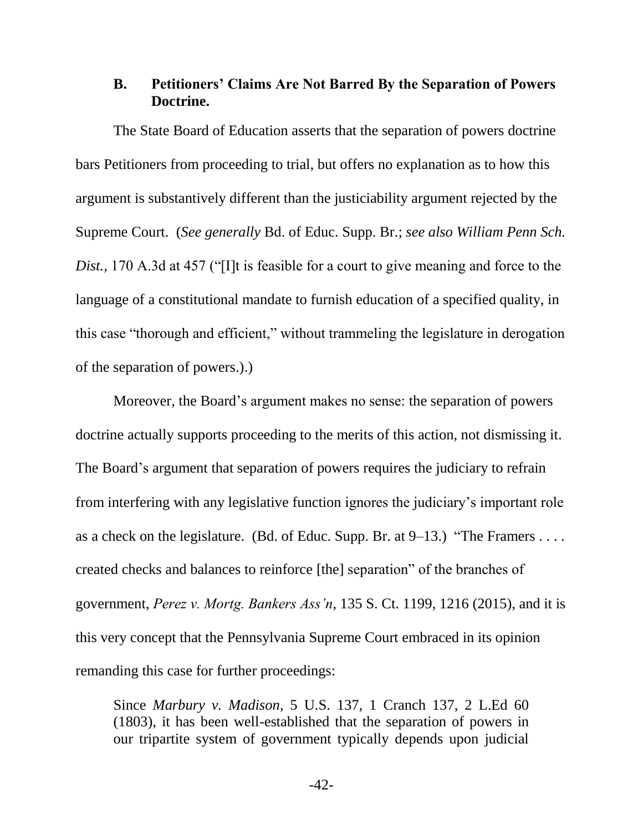### <span id="page-48-0"></span>**B. Petitioners' Claims Are Not Barred By the Separation of Powers Doctrine.**

The State Board of Education asserts that the separation of powers doctrine bars Petitioners from proceeding to trial, but offers no explanation as to how this argument is substantively different than the justiciability argument rejected by the Supreme Court. (*See generally* Bd. of Educ. Supp. Br.; *see also William Penn Sch. Dist.,* 170 A.3d at 457 ("[I]t is feasible for a court to give meaning and force to the language of a constitutional mandate to furnish education of a specified quality, in this case "thorough and efficient," without trammeling the legislature in derogation of the separation of powers.).)

Moreover, the Board's argument makes no sense: the separation of powers doctrine actually supports proceeding to the merits of this action, not dismissing it. The Board's argument that separation of powers requires the judiciary to refrain from interfering with any legislative function ignores the judiciary's important role as a check on the legislature. (Bd. of Educ. Supp. Br. at  $9-13$ .) "The Framers ... created checks and balances to reinforce [the] separation" of the branches of government, *Perez v. Mortg. Bankers Ass'n*, 135 S. Ct. 1199, 1216 (2015), and it is this very concept that the Pennsylvania Supreme Court embraced in its opinion remanding this case for further proceedings:

<span id="page-48-1"></span>Since *Marbury v. Madison*, 5 U.S. 137, 1 Cranch 137, 2 L.Ed 60 (1803), it has been well-established that the separation of powers in our tripartite system of government typically depends upon judicial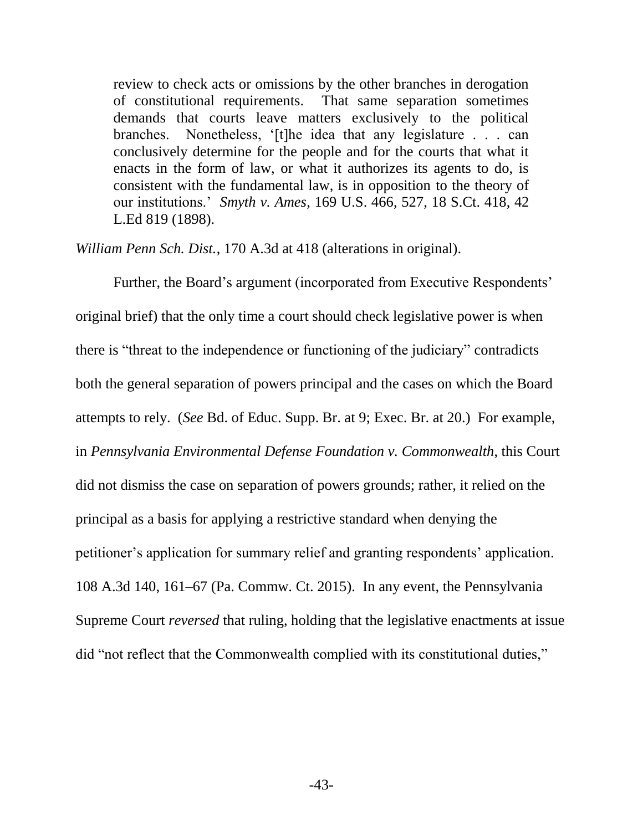review to check acts or omissions by the other branches in derogation of constitutional requirements. That same separation sometimes demands that courts leave matters exclusively to the political branches. Nonetheless, '[t]he idea that any legislature . . . can conclusively determine for the people and for the courts that what it enacts in the form of law, or what it authorizes its agents to do, is consistent with the fundamental law, is in opposition to the theory of our institutions.' *Smyth v. Ames*, 169 U.S. 466, 527, 18 S.Ct. 418, 42 L.Ed 819 (1898).

*William Penn Sch. Dist.*, 170 A.3d at 418 (alterations in original).

<span id="page-49-0"></span>Further, the Board's argument (incorporated from Executive Respondents' original brief) that the only time a court should check legislative power is when there is "threat to the independence or functioning of the judiciary" contradicts both the general separation of powers principal and the cases on which the Board attempts to rely. (*See* Bd. of Educ. Supp. Br. at 9; Exec. Br. at 20.) For example, in *Pennsylvania Environmental Defense Foundation v. Commonwealth*, this Court did not dismiss the case on separation of powers grounds; rather, it relied on the principal as a basis for applying a restrictive standard when denying the petitioner's application for summary relief and granting respondents' application. 108 A.3d 140, 161–67 (Pa. Commw. Ct. 2015). In any event, the Pennsylvania Supreme Court *reversed* that ruling, holding that the legislative enactments at issue did "not reflect that the Commonwealth complied with its constitutional duties,"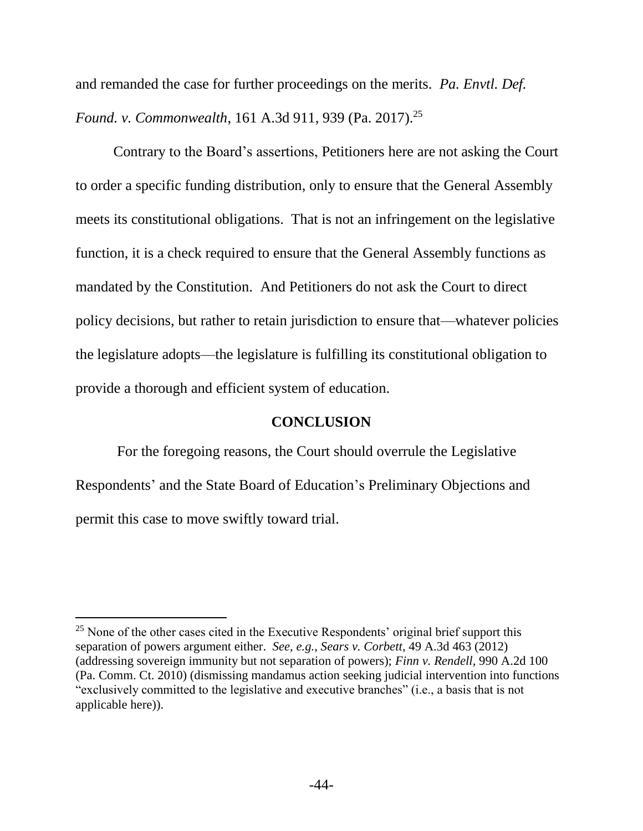<span id="page-50-2"></span>and remanded the case for further proceedings on the merits. *Pa. Envtl. Def. Found. v. Commonwealth*, 161 A.3d 911, 939 (Pa. 2017).<sup>25</sup>

Contrary to the Board's assertions, Petitioners here are not asking the Court to order a specific funding distribution, only to ensure that the General Assembly meets its constitutional obligations. That is not an infringement on the legislative function, it is a check required to ensure that the General Assembly functions as mandated by the Constitution. And Petitioners do not ask the Court to direct policy decisions, but rather to retain jurisdiction to ensure that—whatever policies the legislature adopts—the legislature is fulfilling its constitutional obligation to provide a thorough and efficient system of education.

#### <span id="page-50-3"></span><span id="page-50-1"></span>**CONCLUSION**

<span id="page-50-0"></span>For the foregoing reasons, the Court should overrule the Legislative Respondents' and the State Board of Education's Preliminary Objections and permit this case to move swiftly toward trial.

l

 $25$  None of the other cases cited in the Executive Respondents' original brief support this separation of powers argument either. *See, e.g.*, *Sears v. Corbett*, 49 A.3d 463 (2012) (addressing sovereign immunity but not separation of powers); *Finn v. Rendell*, 990 A.2d 100 (Pa. Comm. Ct. 2010) (dismissing mandamus action seeking judicial intervention into functions "exclusively committed to the legislative and executive branches" (i.e., a basis that is not applicable here)).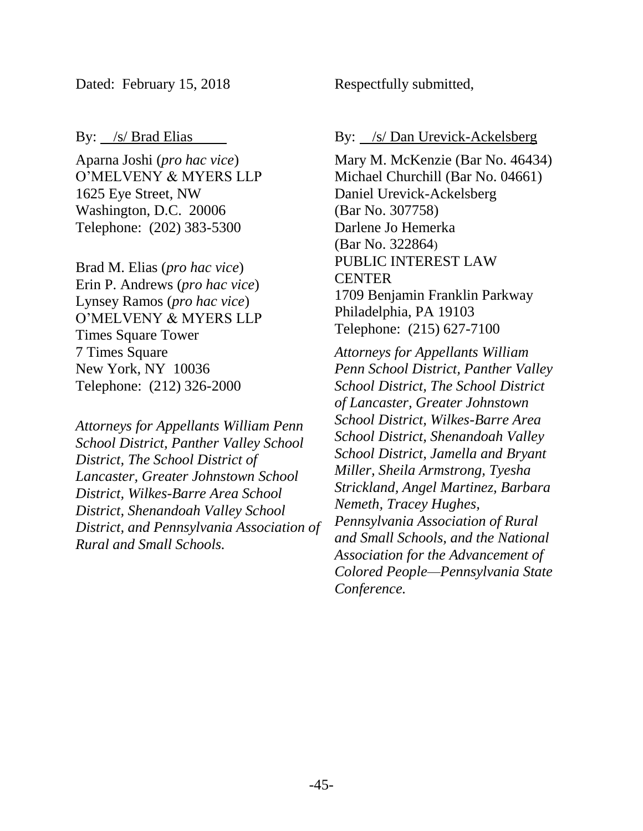Dated: February 15, 2018

By: <u>/s/ Brad Elias</u>

Aparna Joshi (*pro hac vice*) O'MELVENY & MYERS LLP 1625 Eye Street, NW Washington, D.C. 20006 Telephone: (202) 383-5300

Brad M. Elias (*pro hac vice*) Erin P. Andrews (*pro hac vice*) Lynsey Ramos (*pro hac vice*) O'MELVENY & MYERS LLP Times Square Tower 7 Times Square New York, NY 10036 Telephone: (212) 326-2000

*Attorneys for Appellants William Penn School District, Panther Valley School District, The School District of Lancaster, Greater Johnstown School District, Wilkes-Barre Area School District, Shenandoah Valley School District, and Pennsylvania Association of Rural and Small Schools.* 

Respectfully submitted,

By: <u>/s/ Dan Urevick-Ackelsberg</u>

Mary M. McKenzie (Bar No. 46434) Michael Churchill (Bar No. 04661) Daniel Urevick-Ackelsberg (Bar No. 307758) Darlene Jo Hemerka (Bar No. 322864) PUBLIC INTEREST LAW CENTER 1709 Benjamin Franklin Parkway Philadelphia, PA 19103 Telephone: (215) 627-7100

*Attorneys for Appellants William Penn School District, Panther Valley School District, The School District of Lancaster, Greater Johnstown School District, Wilkes-Barre Area School District, Shenandoah Valley School District, Jamella and Bryant Miller, Sheila Armstrong, Tyesha Strickland, Angel Martinez, Barbara Nemeth, Tracey Hughes, Pennsylvania Association of Rural and Small Schools, and the National Association for the Advancement of Colored People—Pennsylvania State Conference.*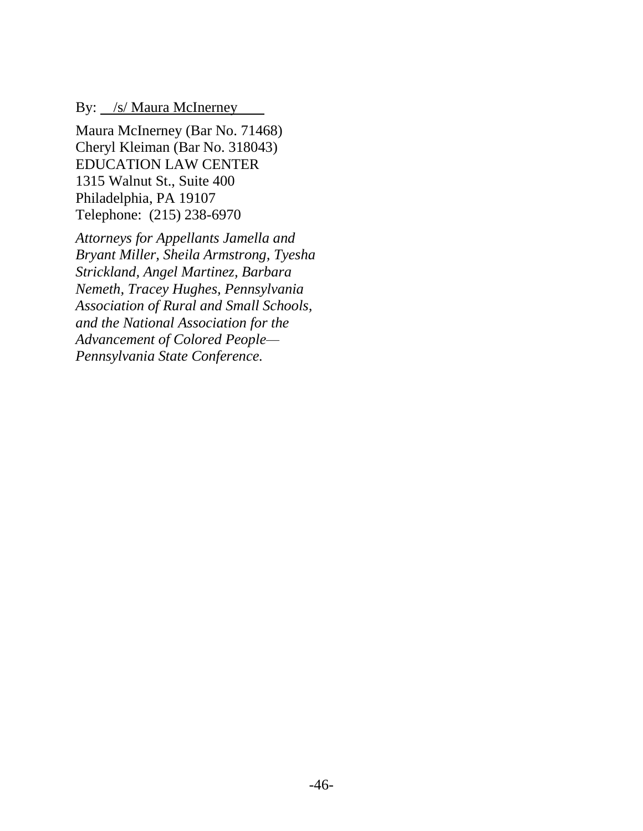By: /s/ Maura McInerney

Maura McInerney (Bar No. 71468) Cheryl Kleiman (Bar No. 318043) EDUCATION LAW CENTER 1315 Walnut St., Suite 400 Philadelphia, PA 19107 Telephone: (215) 238-6970

*Attorneys for Appellants Jamella and Bryant Miller, Sheila Armstrong, Tyesha Strickland, Angel Martinez, Barbara Nemeth, Tracey Hughes, Pennsylvania Association of Rural and Small Schools, and the National Association for the Advancement of Colored People— Pennsylvania State Conference.*